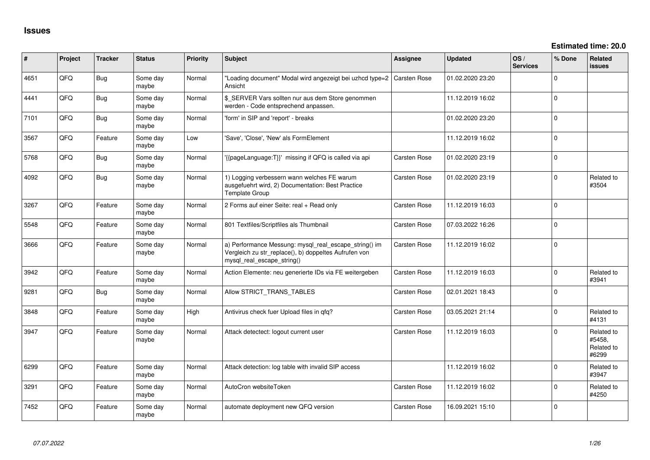| ∦    | Project | <b>Tracker</b> | <b>Status</b>     | <b>Priority</b> | <b>Subject</b>                                                                                                                               | <b>Assignee</b>     | <b>Updated</b>   | OS/<br><b>Services</b> | % Done      | <b>Related</b><br>issues                    |
|------|---------|----------------|-------------------|-----------------|----------------------------------------------------------------------------------------------------------------------------------------------|---------------------|------------------|------------------------|-------------|---------------------------------------------|
| 4651 | QFQ     | Bug            | Some day<br>maybe | Normal          | "Loading document" Modal wird angezeigt bei uzhcd type=2<br>Ansicht                                                                          | <b>Carsten Rose</b> | 01.02.2020 23:20 |                        | $\Omega$    |                                             |
| 4441 | QFQ     | Bug            | Some day<br>maybe | Normal          | \$ SERVER Vars sollten nur aus dem Store genommen<br>werden - Code entsprechend anpassen.                                                    |                     | 11.12.2019 16:02 |                        | $\Omega$    |                                             |
| 7101 | QFQ     | Bug            | Some day<br>maybe | Normal          | 'form' in SIP and 'report' - breaks                                                                                                          |                     | 01.02.2020 23:20 |                        | $\Omega$    |                                             |
| 3567 | QFQ     | Feature        | Some day<br>maybe | Low             | 'Save', 'Close', 'New' als FormElement                                                                                                       |                     | 11.12.2019 16:02 |                        | $\Omega$    |                                             |
| 5768 | QFQ     | Bug            | Some day<br>maybe | Normal          | '{{pageLanguage:T}}' missing if QFQ is called via api                                                                                        | Carsten Rose        | 01.02.2020 23:19 |                        | $\mathbf 0$ |                                             |
| 4092 | QFQ     | Bug            | Some day<br>maybe | Normal          | 1) Logging verbessern wann welches FE warum<br>ausgefuehrt wird, 2) Documentation: Best Practice<br><b>Template Group</b>                    | <b>Carsten Rose</b> | 01.02.2020 23:19 |                        | $\mathbf 0$ | Related to<br>#3504                         |
| 3267 | QFQ     | Feature        | Some day<br>maybe | Normal          | 2 Forms auf einer Seite: real + Read only                                                                                                    | Carsten Rose        | 11.12.2019 16:03 |                        | $\Omega$    |                                             |
| 5548 | QFQ     | Feature        | Some day<br>maybe | Normal          | 801 Textfiles/Scriptfiles als Thumbnail                                                                                                      | Carsten Rose        | 07.03.2022 16:26 |                        | $\Omega$    |                                             |
| 3666 | QFQ     | Feature        | Some day<br>maybe | Normal          | a) Performance Messung: mysql_real_escape_string() im<br>Vergleich zu str_replace(), b) doppeltes Aufrufen von<br>mysql_real_escape_string() | Carsten Rose        | 11.12.2019 16:02 |                        | $\Omega$    |                                             |
| 3942 | QFQ     | Feature        | Some day<br>maybe | Normal          | Action Elemente: neu generierte IDs via FE weitergeben                                                                                       | Carsten Rose        | 11.12.2019 16:03 |                        | $\Omega$    | Related to<br>#3941                         |
| 9281 | QFQ     | Bug            | Some day<br>maybe | Normal          | Allow STRICT_TRANS_TABLES                                                                                                                    | Carsten Rose        | 02.01.2021 18:43 |                        | $\Omega$    |                                             |
| 3848 | QFQ     | Feature        | Some day<br>maybe | High            | Antivirus check fuer Upload files in qfq?                                                                                                    | Carsten Rose        | 03.05.2021 21:14 |                        | $\Omega$    | Related to<br>#4131                         |
| 3947 | QFQ     | Feature        | Some day<br>maybe | Normal          | Attack detectect: logout current user                                                                                                        | Carsten Rose        | 11.12.2019 16:03 |                        | $\Omega$    | Related to<br>#5458,<br>Related to<br>#6299 |
| 6299 | QFQ     | Feature        | Some day<br>maybe | Normal          | Attack detection: log table with invalid SIP access                                                                                          |                     | 11.12.2019 16:02 |                        | $\Omega$    | Related to<br>#3947                         |
| 3291 | QFQ     | Feature        | Some day<br>maybe | Normal          | AutoCron websiteToken                                                                                                                        | Carsten Rose        | 11.12.2019 16:02 |                        | $\Omega$    | Related to<br>#4250                         |
| 7452 | QFQ     | Feature        | Some day<br>maybe | Normal          | automate deployment new QFQ version                                                                                                          | Carsten Rose        | 16.09.2021 15:10 |                        | $\Omega$    |                                             |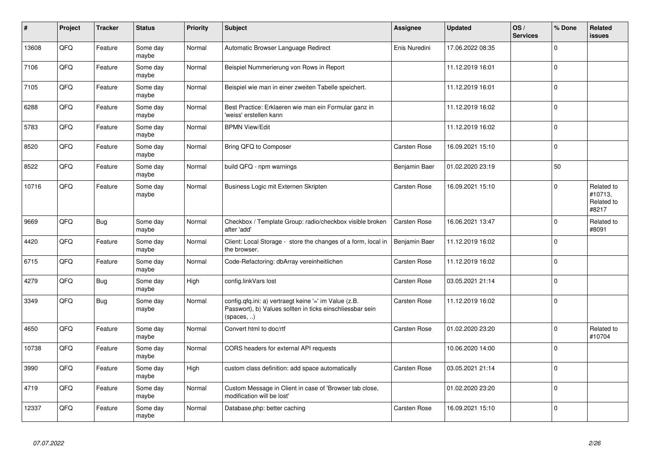| #     | Project | <b>Tracker</b> | <b>Status</b>     | <b>Priority</b> | Subject                                                                                                                          | Assignee            | <b>Updated</b>   | OS/<br><b>Services</b> | % Done      | Related<br><b>issues</b>                     |
|-------|---------|----------------|-------------------|-----------------|----------------------------------------------------------------------------------------------------------------------------------|---------------------|------------------|------------------------|-------------|----------------------------------------------|
| 13608 | QFQ     | Feature        | Some day<br>maybe | Normal          | Automatic Browser Language Redirect                                                                                              | Enis Nuredini       | 17.06.2022 08:35 |                        | $\Omega$    |                                              |
| 7106  | QFQ     | Feature        | Some day<br>maybe | Normal          | Beispiel Nummerierung von Rows in Report                                                                                         |                     | 11.12.2019 16:01 |                        | $\Omega$    |                                              |
| 7105  | QFQ     | Feature        | Some day<br>maybe | Normal          | Beispiel wie man in einer zweiten Tabelle speichert.                                                                             |                     | 11.12.2019 16:01 |                        | $\Omega$    |                                              |
| 6288  | QFQ     | Feature        | Some day<br>maybe | Normal          | Best Practice: Erklaeren wie man ein Formular ganz in<br>'weiss' erstellen kann                                                  |                     | 11.12.2019 16:02 |                        | $\Omega$    |                                              |
| 5783  | QFQ     | Feature        | Some day<br>maybe | Normal          | <b>BPMN View/Edit</b>                                                                                                            |                     | 11.12.2019 16:02 |                        | $\Omega$    |                                              |
| 8520  | QFQ     | Feature        | Some day<br>maybe | Normal          | Bring QFQ to Composer                                                                                                            | Carsten Rose        | 16.09.2021 15:10 |                        | $\Omega$    |                                              |
| 8522  | QFQ     | Feature        | Some day<br>maybe | Normal          | build QFQ - npm warnings                                                                                                         | Benjamin Baer       | 01.02.2020 23:19 |                        | 50          |                                              |
| 10716 | QFQ     | Feature        | Some day<br>maybe | Normal          | Business Logic mit Externen Skripten                                                                                             | <b>Carsten Rose</b> | 16.09.2021 15:10 |                        | $\Omega$    | Related to<br>#10713,<br>Related to<br>#8217 |
| 9669  | QFQ     | <b>Bug</b>     | Some day<br>maybe | Normal          | Checkbox / Template Group: radio/checkbox visible broken<br>after 'add'                                                          | <b>Carsten Rose</b> | 16.06.2021 13:47 |                        | 0           | Related to<br>#8091                          |
| 4420  | QFQ     | Feature        | Some day<br>maybe | Normal          | Client: Local Storage - store the changes of a form, local in<br>the browser.                                                    | Benjamin Baer       | 11.12.2019 16:02 |                        | $\Omega$    |                                              |
| 6715  | QFQ     | Feature        | Some day<br>maybe | Normal          | Code-Refactoring: dbArray vereinheitlichen                                                                                       | <b>Carsten Rose</b> | 11.12.2019 16:02 |                        | $\Omega$    |                                              |
| 4279  | QFQ     | Bug            | Some day<br>maybe | High            | config.linkVars lost                                                                                                             | <b>Carsten Rose</b> | 03.05.2021 21:14 |                        | $\Omega$    |                                              |
| 3349  | QFQ     | <b>Bug</b>     | Some day<br>maybe | Normal          | config.qfq.ini: a) vertraegt keine '=' im Value (z.B.<br>Passwort), b) Values sollten in ticks einschliessbar sein<br>(spaces, ) | Carsten Rose        | 11.12.2019 16:02 |                        | $\Omega$    |                                              |
| 4650  | QFQ     | Feature        | Some day<br>maybe | Normal          | Convert html to doc/rtf                                                                                                          | <b>Carsten Rose</b> | 01.02.2020 23:20 |                        | $\mathbf 0$ | Related to<br>#10704                         |
| 10738 | QFQ     | Feature        | Some day<br>maybe | Normal          | CORS headers for external API requests                                                                                           |                     | 10.06.2020 14:00 |                        | $\Omega$    |                                              |
| 3990  | QFQ     | Feature        | Some day<br>maybe | High            | custom class definition: add space automatically                                                                                 | <b>Carsten Rose</b> | 03.05.2021 21:14 |                        | $\Omega$    |                                              |
| 4719  | QFQ     | Feature        | Some day<br>maybe | Normal          | Custom Message in Client in case of 'Browser tab close,<br>modification will be lost'                                            |                     | 01.02.2020 23:20 |                        | $\Omega$    |                                              |
| 12337 | QFQ     | Feature        | Some day<br>maybe | Normal          | Database.php: better caching                                                                                                     | <b>Carsten Rose</b> | 16.09.2021 15:10 |                        | $\Omega$    |                                              |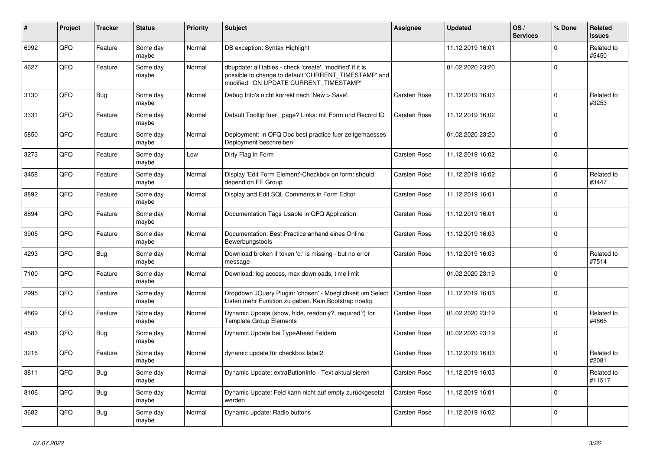| ∦    | Project    | <b>Tracker</b> | <b>Status</b>     | <b>Priority</b> | <b>Subject</b>                                                                                                                                                | <b>Assignee</b>     | <b>Updated</b>   | OS/<br><b>Services</b> | % Done       | Related<br><b>issues</b> |
|------|------------|----------------|-------------------|-----------------|---------------------------------------------------------------------------------------------------------------------------------------------------------------|---------------------|------------------|------------------------|--------------|--------------------------|
| 6992 | QFQ        | Feature        | Some day<br>maybe | Normal          | DB exception: Syntax Highlight                                                                                                                                |                     | 11.12.2019 16:01 |                        | $\Omega$     | Related to<br>#5450      |
| 4627 | QFQ        | Feature        | Some day<br>maybe | Normal          | dbupdate: all tables - check 'create', 'modified' if it is<br>possible to change to default 'CURRENT_TIMESTAMP' and<br>modified 'ON UPDATE CURRENT TIMESTAMP' |                     | 01.02.2020 23:20 |                        | $\mathbf 0$  |                          |
| 3130 | <b>OFO</b> | Bug            | Some day<br>maybe | Normal          | Debug Info's nicht korrekt nach 'New > Save'.                                                                                                                 | Carsten Rose        | 11.12.2019 16:03 |                        | $\Omega$     | Related to<br>#3253      |
| 3331 | QFQ        | Feature        | Some day<br>maybe | Normal          | Default Tooltip fuer page? Links: mit Form und Record ID                                                                                                      | Carsten Rose        | 11.12.2019 16:02 |                        | $\mathbf 0$  |                          |
| 5850 | QFQ        | Feature        | Some day<br>maybe | Normal          | Deployment: In QFQ Doc best practice fuer zeitgemaesses<br>Deployment beschreiben                                                                             |                     | 01.02.2020 23:20 |                        | $\mathbf 0$  |                          |
| 3273 | QFQ        | Feature        | Some day<br>maybe | Low             | Dirty Flag in Form                                                                                                                                            | Carsten Rose        | 11.12.2019 16:02 |                        | $\Omega$     |                          |
| 3458 | QFQ        | Feature        | Some day<br>maybe | Normal          | Display 'Edit Form Element'-Checkbox on form: should<br>depend on FE Group                                                                                    | Carsten Rose        | 11.12.2019 16:02 |                        | $\mathbf{0}$ | Related to<br>#3447      |
| 8892 | QFQ        | Feature        | Some day<br>maybe | Normal          | Display and Edit SQL Comments in Form Editor                                                                                                                  | Carsten Rose        | 11.12.2019 16:01 |                        | $\Omega$     |                          |
| 8894 | QFQ        | Feature        | Some day<br>maybe | Normal          | Documentation Tags Usable in QFQ Application                                                                                                                  | Carsten Rose        | 11.12.2019 16:01 |                        | $\mathbf 0$  |                          |
| 3905 | QFQ        | Feature        | Some day<br>maybe | Normal          | Documentation: Best Practice anhand eines Online<br>Bewerbungstools                                                                                           | Carsten Rose        | 11.12.2019 16:03 |                        | $\mathbf 0$  |                          |
| 4293 | QFQ        | <b>Bug</b>     | Some day<br>maybe | Normal          | Download broken if token 'd:' is missing - but no error<br>message                                                                                            | Carsten Rose        | 11.12.2019 16:03 |                        | $\Omega$     | Related to<br>#7514      |
| 7100 | QFQ        | Feature        | Some day<br>maybe | Normal          | Download: log access, max downloads, time limit                                                                                                               |                     | 01.02.2020 23:19 |                        | $\mathbf 0$  |                          |
| 2995 | QFQ        | Feature        | Some day<br>maybe | Normal          | Dropdown JQuery Plugin: 'chosen' - Moeglichkeit um Select<br>Listen mehr Funktion zu geben. Kein Bootstrap noetig.                                            | <b>Carsten Rose</b> | 11.12.2019 16:03 |                        | $\mathbf 0$  |                          |
| 4869 | QFQ        | Feature        | Some day<br>maybe | Normal          | Dynamic Update (show, hide, readonly?, required?) for<br><b>Template Group Elements</b>                                                                       | Carsten Rose        | 01.02.2020 23:19 |                        | $\Omega$     | Related to<br>#4865      |
| 4583 | QFQ        | Bug            | Some day<br>maybe | Normal          | Dynamic Update bei TypeAhead Feldern                                                                                                                          | Carsten Rose        | 01.02.2020 23:19 |                        | $\mathbf 0$  |                          |
| 3216 | QFQ        | Feature        | Some day<br>maybe | Normal          | dynamic update für checkbox label2                                                                                                                            | Carsten Rose        | 11.12.2019 16:03 |                        | $\Omega$     | Related to<br>#2081      |
| 3811 | QFQ        | <b>Bug</b>     | Some day<br>maybe | Normal          | Dynamic Update: extraButtonInfo - Text aktualisieren                                                                                                          | Carsten Rose        | 11.12.2019 16:03 |                        | $\Omega$     | Related to<br>#11517     |
| 8106 | QFQ        | <b>Bug</b>     | Some day<br>maybe | Normal          | Dynamic Update: Feld kann nicht auf empty zurückgesetzt<br>werden                                                                                             | Carsten Rose        | 11.12.2019 16:01 |                        | $\mathbf 0$  |                          |
| 3682 | QFQ        | Bug            | Some day<br>maybe | Normal          | Dynamic update: Radio buttons                                                                                                                                 | Carsten Rose        | 11.12.2019 16:02 |                        | $\mathbf 0$  |                          |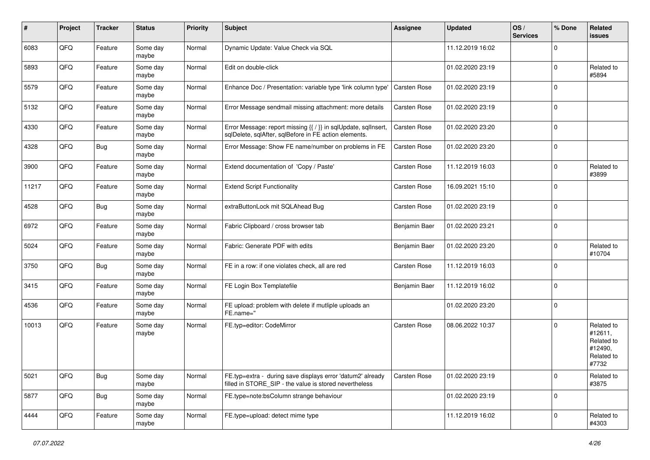| #     | Project | <b>Tracker</b> | <b>Status</b>     | <b>Priority</b> | <b>Subject</b>                                                                                                          | Assignee            | Updated          | OS/<br><b>Services</b> | % Done      | Related<br><b>issues</b>                                              |
|-------|---------|----------------|-------------------|-----------------|-------------------------------------------------------------------------------------------------------------------------|---------------------|------------------|------------------------|-------------|-----------------------------------------------------------------------|
| 6083  | QFQ     | Feature        | Some day<br>maybe | Normal          | Dynamic Update: Value Check via SQL                                                                                     |                     | 11.12.2019 16:02 |                        | $\Omega$    |                                                                       |
| 5893  | QFQ     | Feature        | Some day<br>maybe | Normal          | Edit on double-click                                                                                                    |                     | 01.02.2020 23:19 |                        | $\Omega$    | Related to<br>#5894                                                   |
| 5579  | QFQ     | Feature        | Some day<br>maybe | Normal          | Enhance Doc / Presentation: variable type 'link column type'                                                            | Carsten Rose        | 01.02.2020 23:19 |                        | 0           |                                                                       |
| 5132  | QFQ     | Feature        | Some day<br>maybe | Normal          | Error Message sendmail missing attachment: more details                                                                 | <b>Carsten Rose</b> | 01.02.2020 23:19 |                        | $\mathbf 0$ |                                                                       |
| 4330  | QFQ     | Feature        | Some day<br>maybe | Normal          | Error Message: report missing {{ / }} in sqlUpdate, sqlInsert,<br>sqlDelete, sqlAfter, sqlBefore in FE action elements. | <b>Carsten Rose</b> | 01.02.2020 23:20 |                        | $\mathbf 0$ |                                                                       |
| 4328  | QFQ     | Bug            | Some day<br>maybe | Normal          | Error Message: Show FE name/number on problems in FE                                                                    | Carsten Rose        | 01.02.2020 23:20 |                        | $\Omega$    |                                                                       |
| 3900  | QFQ     | Feature        | Some day<br>maybe | Normal          | Extend documentation of 'Copy / Paste'                                                                                  | <b>Carsten Rose</b> | 11.12.2019 16:03 |                        | $\Omega$    | Related to<br>#3899                                                   |
| 11217 | QFQ     | Feature        | Some day<br>maybe | Normal          | <b>Extend Script Functionality</b>                                                                                      | Carsten Rose        | 16.09.2021 15:10 |                        | $\Omega$    |                                                                       |
| 4528  | QFQ     | <b>Bug</b>     | Some day<br>maybe | Normal          | extraButtonLock mit SQLAhead Bug                                                                                        | Carsten Rose        | 01.02.2020 23:19 |                        | $\mathbf 0$ |                                                                       |
| 6972  | QFQ     | Feature        | Some day<br>maybe | Normal          | Fabric Clipboard / cross browser tab                                                                                    | Benjamin Baer       | 01.02.2020 23:21 |                        | $\Omega$    |                                                                       |
| 5024  | QFQ     | Feature        | Some day<br>maybe | Normal          | Fabric: Generate PDF with edits                                                                                         | Benjamin Baer       | 01.02.2020 23:20 |                        | $\mathbf 0$ | Related to<br>#10704                                                  |
| 3750  | QFQ     | Bug            | Some day<br>maybe | Normal          | FE in a row: if one violates check, all are red                                                                         | <b>Carsten Rose</b> | 11.12.2019 16:03 |                        | $\Omega$    |                                                                       |
| 3415  | QFQ     | Feature        | Some day<br>maybe | Normal          | FE Login Box Templatefile                                                                                               | Benjamin Baer       | 11.12.2019 16:02 |                        | $\Omega$    |                                                                       |
| 4536  | QFQ     | Feature        | Some day<br>maybe | Normal          | FE upload: problem with delete if mutliple uploads an<br>FE.name="                                                      |                     | 01.02.2020 23:20 |                        | $\Omega$    |                                                                       |
| 10013 | QFQ     | Feature        | Some day<br>maybe | Normal          | FE.typ=editor: CodeMirror                                                                                               | <b>Carsten Rose</b> | 08.06.2022 10:37 |                        | $\Omega$    | Related to<br>#12611,<br>Related to<br>#12490,<br>Related to<br>#7732 |
| 5021  | QFQ     | Bug            | Some day<br>maybe | Normal          | FE.typ=extra - during save displays error 'datum2' already<br>filled in STORE_SIP - the value is stored nevertheless    | Carsten Rose        | 01.02.2020 23:19 |                        | $\mathbf 0$ | Related to<br>#3875                                                   |
| 5877  | QFQ     | <b>Bug</b>     | Some day<br>maybe | Normal          | FE.type=note:bsColumn strange behaviour                                                                                 |                     | 01.02.2020 23:19 |                        | $\mathbf 0$ |                                                                       |
| 4444  | QFQ     | Feature        | Some day<br>maybe | Normal          | FE.type=upload: detect mime type                                                                                        |                     | 11.12.2019 16:02 |                        | $\mathbf 0$ | Related to<br>#4303                                                   |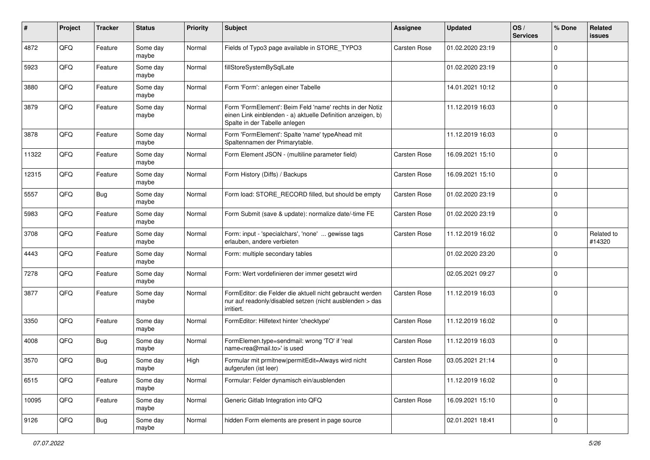| #     | Project | <b>Tracker</b> | <b>Status</b>     | <b>Priority</b> | <b>Subject</b>                                                                                                                                           | <b>Assignee</b>     | <b>Updated</b>   | OS/<br><b>Services</b> | % Done              | Related<br>issues    |
|-------|---------|----------------|-------------------|-----------------|----------------------------------------------------------------------------------------------------------------------------------------------------------|---------------------|------------------|------------------------|---------------------|----------------------|
| 4872  | QFQ     | Feature        | Some day<br>maybe | Normal          | Fields of Typo3 page available in STORE_TYPO3                                                                                                            | <b>Carsten Rose</b> | 01.02.2020 23:19 |                        | 0                   |                      |
| 5923  | QFQ     | Feature        | Some day<br>maybe | Normal          | fillStoreSystemBySqlLate                                                                                                                                 |                     | 01.02.2020 23:19 |                        | $\mathbf 0$         |                      |
| 3880  | QFQ     | Feature        | Some day<br>maybe | Normal          | Form 'Form': anlegen einer Tabelle                                                                                                                       |                     | 14.01.2021 10:12 |                        | $\mathbf 0$         |                      |
| 3879  | QFQ     | Feature        | Some day<br>maybe | Normal          | Form 'FormElement': Beim Feld 'name' rechts in der Notiz<br>einen Link einblenden - a) aktuelle Definition anzeigen, b)<br>Spalte in der Tabelle anlegen |                     | 11.12.2019 16:03 |                        | $\mathbf 0$         |                      |
| 3878  | QFQ     | Feature        | Some day<br>maybe | Normal          | Form 'FormElement': Spalte 'name' typeAhead mit<br>Spaltennamen der Primarytable.                                                                        |                     | 11.12.2019 16:03 |                        | $\mathbf 0$         |                      |
| 11322 | QFQ     | Feature        | Some day<br>maybe | Normal          | Form Element JSON - (multiline parameter field)                                                                                                          | <b>Carsten Rose</b> | 16.09.2021 15:10 |                        | $\mathbf 0$         |                      |
| 12315 | QFQ     | Feature        | Some day<br>maybe | Normal          | Form History (Diffs) / Backups                                                                                                                           | <b>Carsten Rose</b> | 16.09.2021 15:10 |                        | $\mathbf 0$         |                      |
| 5557  | QFQ     | Bug            | Some day<br>maybe | Normal          | Form load: STORE_RECORD filled, but should be empty                                                                                                      | <b>Carsten Rose</b> | 01.02.2020 23:19 |                        | $\mathbf 0$         |                      |
| 5983  | QFQ     | Feature        | Some day<br>maybe | Normal          | Form Submit (save & update): normalize date/-time FE                                                                                                     | <b>Carsten Rose</b> | 01.02.2020 23:19 |                        | $\mathbf 0$         |                      |
| 3708  | QFQ     | Feature        | Some day<br>maybe | Normal          | Form: input - 'specialchars', 'none'  gewisse tags<br>erlauben, andere verbieten                                                                         | <b>Carsten Rose</b> | 11.12.2019 16:02 |                        | $\mathbf 0$         | Related to<br>#14320 |
| 4443  | QFQ     | Feature        | Some day<br>maybe | Normal          | Form: multiple secondary tables                                                                                                                          |                     | 01.02.2020 23:20 |                        | $\mathbf 0$         |                      |
| 7278  | QFQ     | Feature        | Some day<br>maybe | Normal          | Form: Wert vordefinieren der immer gesetzt wird                                                                                                          |                     | 02.05.2021 09:27 |                        | $\mathbf 0$         |                      |
| 3877  | QFQ     | Feature        | Some day<br>maybe | Normal          | FormEditor: die Felder die aktuell nicht gebraucht werden<br>nur auf readonly/disabled setzen (nicht ausblenden > das<br>irritiert.                      | <b>Carsten Rose</b> | 11.12.2019 16:03 |                        | $\mathbf 0$         |                      |
| 3350  | QFQ     | Feature        | Some day<br>maybe | Normal          | FormEditor: Hilfetext hinter 'checktype'                                                                                                                 | <b>Carsten Rose</b> | 11.12.2019 16:02 |                        | $\mathbf 0$         |                      |
| 4008  | QFQ     | <b>Bug</b>     | Some day<br>maybe | Normal          | FormElemen.type=sendmail: wrong 'TO' if 'real<br>name <rea@mail.to>' is used</rea@mail.to>                                                               | <b>Carsten Rose</b> | 11.12.2019 16:03 |                        | $\mathbf 0$         |                      |
| 3570  | QFQ     | Bug            | Some day<br>maybe | High            | Formular mit prmitnew permitEdit=Always wird nicht<br>aufgerufen (ist leer)                                                                              | <b>Carsten Rose</b> | 03.05.2021 21:14 |                        | $\mathbf 0$         |                      |
| 6515  | QFG     | Feature        | Some day<br>maybe | Normal          | Formular: Felder dynamisch ein/ausblenden                                                                                                                |                     | 11.12.2019 16:02 |                        | $\mathsf{O}\xspace$ |                      |
| 10095 | QFG     | Feature        | Some day<br>maybe | Normal          | Generic Gitlab Integration into QFQ                                                                                                                      | Carsten Rose        | 16.09.2021 15:10 |                        | $\mathsf{O}$        |                      |
| 9126  | QFQ     | Bug            | Some day<br>maybe | Normal          | hidden Form elements are present in page source                                                                                                          |                     | 02.01.2021 18:41 |                        | $\mathsf{O}\xspace$ |                      |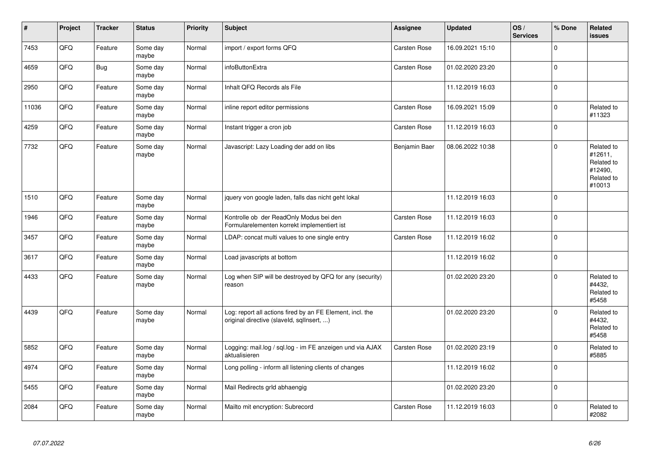| #     | Project | <b>Tracker</b> | <b>Status</b>     | <b>Priority</b> | Subject                                                                                                | Assignee            | <b>Updated</b>   | OS/<br><b>Services</b> | % Done      | Related<br>issues                                                      |
|-------|---------|----------------|-------------------|-----------------|--------------------------------------------------------------------------------------------------------|---------------------|------------------|------------------------|-------------|------------------------------------------------------------------------|
| 7453  | QFQ     | Feature        | Some day<br>maybe | Normal          | import / export forms QFQ                                                                              | <b>Carsten Rose</b> | 16.09.2021 15:10 |                        | $\Omega$    |                                                                        |
| 4659  | QFQ     | <b>Bug</b>     | Some day<br>maybe | Normal          | infoButtonExtra                                                                                        | <b>Carsten Rose</b> | 01.02.2020 23:20 |                        | $\Omega$    |                                                                        |
| 2950  | QFQ     | Feature        | Some day<br>maybe | Normal          | Inhalt QFQ Records als File                                                                            |                     | 11.12.2019 16:03 |                        | $\mathbf 0$ |                                                                        |
| 11036 | QFQ     | Feature        | Some day<br>maybe | Normal          | inline report editor permissions                                                                       | <b>Carsten Rose</b> | 16.09.2021 15:09 |                        | $\Omega$    | Related to<br>#11323                                                   |
| 4259  | QFQ     | Feature        | Some day<br>maybe | Normal          | Instant trigger a cron job                                                                             | <b>Carsten Rose</b> | 11.12.2019 16:03 |                        | $\mathbf 0$ |                                                                        |
| 7732  | QFQ     | Feature        | Some day<br>maybe | Normal          | Javascript: Lazy Loading der add on libs                                                               | Benjamin Baer       | 08.06.2022 10:38 |                        | $\mathbf 0$ | Related to<br>#12611,<br>Related to<br>#12490,<br>Related to<br>#10013 |
| 1510  | QFQ     | Feature        | Some day<br>maybe | Normal          | jquery von google laden, falls das nicht geht lokal                                                    |                     | 11.12.2019 16:03 |                        | $\Omega$    |                                                                        |
| 1946  | QFQ     | Feature        | Some day<br>maybe | Normal          | Kontrolle ob der ReadOnly Modus bei den<br>Formularelementen korrekt implementiert ist                 | <b>Carsten Rose</b> | 11.12.2019 16:03 |                        | $\mathbf 0$ |                                                                        |
| 3457  | QFQ     | Feature        | Some day<br>maybe | Normal          | LDAP: concat multi values to one single entry                                                          | Carsten Rose        | 11.12.2019 16:02 |                        | $\Omega$    |                                                                        |
| 3617  | QFQ     | Feature        | Some day<br>maybe | Normal          | Load javascripts at bottom                                                                             |                     | 11.12.2019 16:02 |                        | $\Omega$    |                                                                        |
| 4433  | QFQ     | Feature        | Some day<br>maybe | Normal          | Log when SIP will be destroyed by QFQ for any (security)<br>reason                                     |                     | 01.02.2020 23:20 |                        | $\Omega$    | Related to<br>#4432,<br>Related to<br>#5458                            |
| 4439  | QFQ     | Feature        | Some day<br>maybe | Normal          | Log: report all actions fired by an FE Element, incl. the<br>original directive (slaveld, sqllnsert, ) |                     | 01.02.2020 23:20 |                        | $\Omega$    | Related to<br>#4432,<br>Related to<br>#5458                            |
| 5852  | QFQ     | Feature        | Some day<br>maybe | Normal          | Logging: mail.log / sql.log - im FE anzeigen und via AJAX<br>aktualisieren                             | Carsten Rose        | 01.02.2020 23:19 |                        | $\Omega$    | Related to<br>#5885                                                    |
| 4974  | QFQ     | Feature        | Some day<br>maybe | Normal          | Long polling - inform all listening clients of changes                                                 |                     | 11.12.2019 16:02 |                        | $\Omega$    |                                                                        |
| 5455  | QFQ     | Feature        | Some day<br>maybe | Normal          | Mail Redirects grld abhaengig                                                                          |                     | 01.02.2020 23:20 |                        | $\Omega$    |                                                                        |
| 2084  | QFQ     | Feature        | Some day<br>maybe | Normal          | Mailto mit encryption: Subrecord                                                                       | Carsten Rose        | 11.12.2019 16:03 |                        | $\Omega$    | Related to<br>#2082                                                    |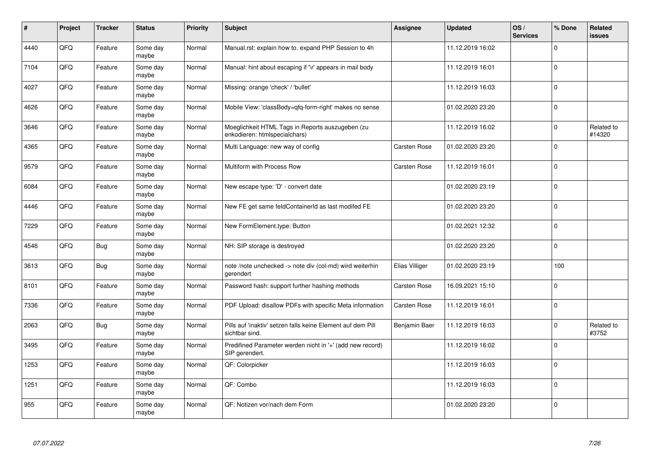| #    | Project | <b>Tracker</b> | <b>Status</b>     | <b>Priority</b> | <b>Subject</b>                                                                    | Assignee            | <b>Updated</b>   | OS/<br><b>Services</b> | % Done      | Related<br><b>issues</b> |
|------|---------|----------------|-------------------|-----------------|-----------------------------------------------------------------------------------|---------------------|------------------|------------------------|-------------|--------------------------|
| 4440 | QFQ     | Feature        | Some day<br>maybe | Normal          | Manual.rst: explain how to. expand PHP Session to 4h                              |                     | 11.12.2019 16:02 |                        | $\Omega$    |                          |
| 7104 | QFQ     | Feature        | Some day<br>maybe | Normal          | Manual: hint about escaping if '\r' appears in mail body                          |                     | 11.12.2019 16:01 |                        | $\Omega$    |                          |
| 4027 | QFQ     | Feature        | Some day<br>maybe | Normal          | Missing: orange 'check' / 'bullet'                                                |                     | 11.12.2019 16:03 |                        | $\Omega$    |                          |
| 4626 | QFQ     | Feature        | Some day<br>maybe | Normal          | Mobile View: 'classBody=qfq-form-right' makes no sense                            |                     | 01.02.2020 23:20 |                        | $\Omega$    |                          |
| 3646 | QFQ     | Feature        | Some day<br>maybe | Normal          | Moeglichkeit HTML Tags in Reports auszugeben (zu<br>enkodieren: htmlspecialchars) |                     | 11.12.2019 16:02 |                        | $\mathbf 0$ | Related to<br>#14320     |
| 4365 | QFQ     | Feature        | Some day<br>maybe | Normal          | Multi Language: new way of config                                                 | Carsten Rose        | 01.02.2020 23:20 |                        | $\Omega$    |                          |
| 9579 | QFQ     | Feature        | Some day<br>maybe | Normal          | Multiform with Process Row                                                        | Carsten Rose        | 11.12.2019 16:01 |                        | $\Omega$    |                          |
| 6084 | QFQ     | Feature        | Some day<br>maybe | Normal          | New escape type: 'D' - convert date                                               |                     | 01.02.2020 23:19 |                        | $\Omega$    |                          |
| 4446 | QFQ     | Feature        | Some day<br>maybe | Normal          | New FE get same feldContainerId as last modifed FE                                |                     | 01.02.2020 23:20 |                        | $\Omega$    |                          |
| 7229 | QFQ     | Feature        | Some day<br>maybe | Normal          | New FormElement.type: Button                                                      |                     | 01.02.2021 12:32 |                        | $\Omega$    |                          |
| 4546 | QFQ     | Bug            | Some day<br>maybe | Normal          | NH: SIP storage is destroyed                                                      |                     | 01.02.2020 23:20 |                        | $\mathbf 0$ |                          |
| 3613 | QFQ     | Bug            | Some day<br>maybe | Normal          | note /note unchecked -> note div (col-md) wird weiterhin<br>gerendert             | Elias Villiger      | 01.02.2020 23:19 |                        | 100         |                          |
| 8101 | QFQ     | Feature        | Some day<br>maybe | Normal          | Password hash: support further hashing methods                                    | <b>Carsten Rose</b> | 16.09.2021 15:10 |                        | $\mathbf 0$ |                          |
| 7336 | QFQ     | Feature        | Some day<br>maybe | Normal          | PDF Upload: disallow PDFs with specific Meta information                          | <b>Carsten Rose</b> | 11.12.2019 16:01 |                        | $\mathbf 0$ |                          |
| 2063 | QFQ     | Bug            | Some day<br>maybe | Normal          | Pills auf 'inaktiv' setzen falls keine Element auf dem Pill<br>sichtbar sind.     | Benjamin Baer       | 11.12.2019 16:03 |                        | $\Omega$    | Related to<br>#3752      |
| 3495 | QFQ     | Feature        | Some day<br>maybe | Normal          | Predifined Parameter werden nicht in '+' (add new record)<br>SIP gerendert.       |                     | 11.12.2019 16:02 |                        | $\Omega$    |                          |
| 1253 | QFQ     | Feature        | Some day<br>maybe | Normal          | QF: Colorpicker                                                                   |                     | 11.12.2019 16:03 |                        | $\Omega$    |                          |
| 1251 | QFQ     | Feature        | Some day<br>maybe | Normal          | QF: Combo                                                                         |                     | 11.12.2019 16:03 |                        | 0           |                          |
| 955  | QFQ     | Feature        | Some day<br>maybe | Normal          | QF: Notizen vor/nach dem Form                                                     |                     | 01.02.2020 23:20 |                        | $\Omega$    |                          |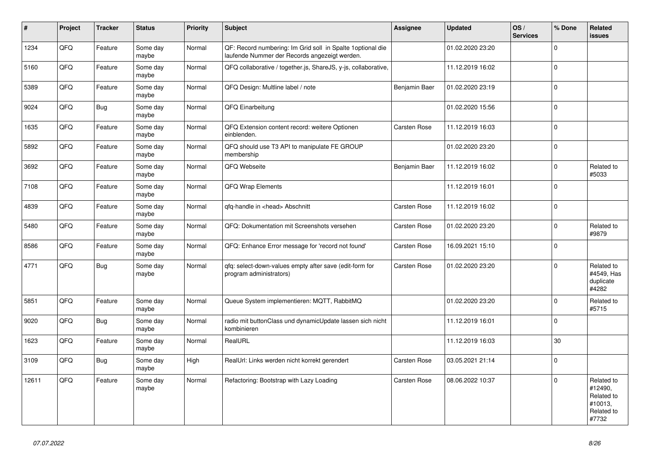| $\vert$ # | Project | <b>Tracker</b> | <b>Status</b>     | <b>Priority</b> | <b>Subject</b>                                                                                               | Assignee            | <b>Updated</b>   | OS/<br><b>Services</b> | % Done      | Related<br><b>issues</b>                                              |
|-----------|---------|----------------|-------------------|-----------------|--------------------------------------------------------------------------------------------------------------|---------------------|------------------|------------------------|-------------|-----------------------------------------------------------------------|
| 1234      | QFQ     | Feature        | Some day<br>maybe | Normal          | QF: Record numbering: Im Grid soll in Spalte 1 optional die<br>laufende Nummer der Records angezeigt werden. |                     | 01.02.2020 23:20 |                        | $\Omega$    |                                                                       |
| 5160      | QFQ     | Feature        | Some day<br>maybe | Normal          | QFQ collaborative / together.js, ShareJS, y-js, collaborative,                                               |                     | 11.12.2019 16:02 |                        | $\Omega$    |                                                                       |
| 5389      | QFQ     | Feature        | Some day<br>maybe | Normal          | QFQ Design: Multline label / note                                                                            | Benjamin Baer       | 01.02.2020 23:19 |                        | $\Omega$    |                                                                       |
| 9024      | QFQ     | Bug            | Some day<br>maybe | Normal          | QFQ Einarbeitung                                                                                             |                     | 01.02.2020 15:56 |                        | $\Omega$    |                                                                       |
| 1635      | QFQ     | Feature        | Some day<br>maybe | Normal          | QFQ Extension content record: weitere Optionen<br>einblenden.                                                | Carsten Rose        | 11.12.2019 16:03 |                        | $\Omega$    |                                                                       |
| 5892      | QFQ     | Feature        | Some day<br>maybe | Normal          | QFQ should use T3 API to manipulate FE GROUP<br>membership                                                   |                     | 01.02.2020 23:20 |                        | $\mathbf 0$ |                                                                       |
| 3692      | QFQ     | Feature        | Some day<br>maybe | Normal          | QFQ Webseite                                                                                                 | Benjamin Baer       | 11.12.2019 16:02 |                        | $\Omega$    | Related to<br>#5033                                                   |
| 7108      | QFQ     | Feature        | Some day<br>maybe | Normal          | QFQ Wrap Elements                                                                                            |                     | 11.12.2019 16:01 |                        | $\Omega$    |                                                                       |
| 4839      | QFQ     | Feature        | Some day<br>maybe | Normal          | gfg-handle in <head> Abschnitt</head>                                                                        | <b>Carsten Rose</b> | 11.12.2019 16:02 |                        | $\Omega$    |                                                                       |
| 5480      | QFQ     | Feature        | Some day<br>maybe | Normal          | QFQ: Dokumentation mit Screenshots versehen                                                                  | <b>Carsten Rose</b> | 01.02.2020 23:20 |                        | $\Omega$    | Related to<br>#9879                                                   |
| 8586      | QFQ     | Feature        | Some day<br>maybe | Normal          | QFQ: Enhance Error message for 'record not found'                                                            | <b>Carsten Rose</b> | 16.09.2021 15:10 |                        | $\mathbf 0$ |                                                                       |
| 4771      | QFQ     | Bug            | Some day<br>maybe | Normal          | qfq: select-down-values empty after save (edit-form for<br>program administrators)                           | Carsten Rose        | 01.02.2020 23:20 |                        | $\Omega$    | Related to<br>#4549, Has<br>duplicate<br>#4282                        |
| 5851      | QFQ     | Feature        | Some day<br>maybe | Normal          | Queue System implementieren: MQTT, RabbitMQ                                                                  |                     | 01.02.2020 23:20 |                        | $\Omega$    | Related to<br>#5715                                                   |
| 9020      | QFQ     | <b>Bug</b>     | Some day<br>maybe | Normal          | radio mit buttonClass und dynamicUpdate lassen sich nicht<br>kombinieren                                     |                     | 11.12.2019 16:01 |                        | $\mathbf 0$ |                                                                       |
| 1623      | QFQ     | Feature        | Some day<br>maybe | Normal          | RealURL                                                                                                      |                     | 11.12.2019 16:03 |                        | 30          |                                                                       |
| 3109      | QFQ     | Bug            | Some day<br>maybe | High            | RealUrl: Links werden nicht korrekt gerendert                                                                | <b>Carsten Rose</b> | 03.05.2021 21:14 |                        | $\Omega$    |                                                                       |
| 12611     | QFQ     | Feature        | Some day<br>maybe | Normal          | Refactoring: Bootstrap with Lazy Loading                                                                     | Carsten Rose        | 08.06.2022 10:37 |                        | $\Omega$    | Related to<br>#12490,<br>Related to<br>#10013.<br>Related to<br>#7732 |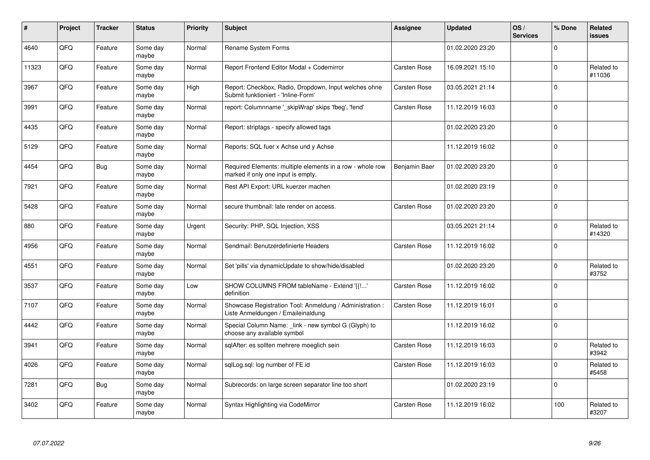| #     | Project | <b>Tracker</b> | <b>Status</b>     | <b>Priority</b> | <b>Subject</b>                                                                                  | <b>Assignee</b>     | <b>Updated</b>   | OS/<br><b>Services</b> | % Done      | Related<br><b>issues</b> |
|-------|---------|----------------|-------------------|-----------------|-------------------------------------------------------------------------------------------------|---------------------|------------------|------------------------|-------------|--------------------------|
| 4640  | QFQ     | Feature        | Some day<br>maybe | Normal          | Rename System Forms                                                                             |                     | 01.02.2020 23:20 |                        | $\Omega$    |                          |
| 11323 | QFQ     | Feature        | Some day<br>maybe | Normal          | Report Frontend Editor Modal + Codemirror                                                       | <b>Carsten Rose</b> | 16.09.2021 15:10 |                        | $\Omega$    | Related to<br>#11036     |
| 3967  | QFQ     | Feature        | Some day<br>maybe | High            | Report: Checkbox, Radio, Dropdown, Input welches ohne<br>Submit funktioniert - 'Inline-Form'    | Carsten Rose        | 03.05.2021 21:14 |                        | $\mathbf 0$ |                          |
| 3991  | QFQ     | Feature        | Some day<br>maybe | Normal          | report: Columnname '_skipWrap' skips 'fbeg', 'fend'                                             | <b>Carsten Rose</b> | 11.12.2019 16:03 |                        | $\Omega$    |                          |
| 4435  | QFQ     | Feature        | Some day<br>maybe | Normal          | Report: striptags - specify allowed tags                                                        |                     | 01.02.2020 23:20 |                        | $\Omega$    |                          |
| 5129  | QFQ     | Feature        | Some day<br>maybe | Normal          | Reports: SQL fuer x Achse und y Achse                                                           |                     | 11.12.2019 16:02 |                        | $\mathbf 0$ |                          |
| 4454  | QFQ     | Bug            | Some day<br>maybe | Normal          | Required Elements: multiple elements in a row - whole row<br>marked if only one input is empty. | Benjamin Baer       | 01.02.2020 23:20 |                        | $\Omega$    |                          |
| 7921  | QFQ     | Feature        | Some day<br>maybe | Normal          | Rest API Export: URL kuerzer machen                                                             |                     | 01.02.2020 23:19 |                        | $\Omega$    |                          |
| 5428  | QFQ     | Feature        | Some day<br>maybe | Normal          | secure thumbnail: late render on access.                                                        | <b>Carsten Rose</b> | 01.02.2020 23:20 |                        | $\Omega$    |                          |
| 880   | QFQ     | Feature        | Some day<br>maybe | Urgent          | Security: PHP, SQL Injection, XSS                                                               |                     | 03.05.2021 21:14 |                        | 0           | Related to<br>#14320     |
| 4956  | QFQ     | Feature        | Some day<br>maybe | Normal          | Sendmail: Benutzerdefinierte Headers                                                            | Carsten Rose        | 11.12.2019 16:02 |                        | $\Omega$    |                          |
| 4551  | QFQ     | Feature        | Some day<br>maybe | Normal          | Set 'pills' via dynamicUpdate to show/hide/disabled                                             |                     | 01.02.2020 23:20 |                        | $\Omega$    | Related to<br>#3752      |
| 3537  | QFQ     | Feature        | Some day<br>maybe | Low             | SHOW COLUMNS FROM tableName - Extend '{{!'<br>definition                                        | <b>Carsten Rose</b> | 11.12.2019 16:02 |                        | $\Omega$    |                          |
| 7107  | QFQ     | Feature        | Some day<br>maybe | Normal          | Showcase Registration Tool: Anmeldung / Administration :<br>Liste Anmeldungen / Emaileinaldung  | <b>Carsten Rose</b> | 11.12.2019 16:01 |                        | $\Omega$    |                          |
| 4442  | QFQ     | Feature        | Some day<br>maybe | Normal          | Special Column Name: link - new symbol G (Glyph) to<br>choose any available symbol              |                     | 11.12.2019 16:02 |                        | $\Omega$    |                          |
| 3941  | QFQ     | Feature        | Some day<br>maybe | Normal          | sqlAfter: es sollten mehrere moeglich sein                                                      | <b>Carsten Rose</b> | 11.12.2019 16:03 |                        | $\Omega$    | Related to<br>#3942      |
| 4026  | QFQ     | Feature        | Some day<br>maybe | Normal          | sqlLog.sql: log number of FE.id                                                                 | Carsten Rose        | 11.12.2019 16:03 |                        | $\Omega$    | Related to<br>#5458      |
| 7281  | QFQ     | Bug            | Some day<br>maybe | Normal          | Subrecords: on large screen separator line too short                                            |                     | 01.02.2020 23:19 |                        | $\Omega$    |                          |
| 3402  | QFQ     | Feature        | Some day<br>maybe | Normal          | Syntax Highlighting via CodeMirror                                                              | Carsten Rose        | 11.12.2019 16:02 |                        | 100         | Related to<br>#3207      |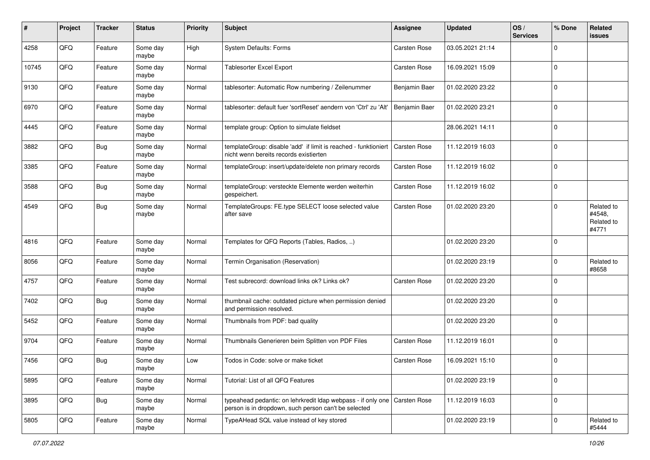| #     | Project | <b>Tracker</b> | <b>Status</b>     | <b>Priority</b> | <b>Subject</b>                                                                                                                    | Assignee            | <b>Updated</b>   | OS/<br><b>Services</b> | % Done      | Related<br>issues                           |
|-------|---------|----------------|-------------------|-----------------|-----------------------------------------------------------------------------------------------------------------------------------|---------------------|------------------|------------------------|-------------|---------------------------------------------|
| 4258  | QFQ     | Feature        | Some day<br>maybe | High            | <b>System Defaults: Forms</b>                                                                                                     | Carsten Rose        | 03.05.2021 21:14 |                        | $\Omega$    |                                             |
| 10745 | QFQ     | Feature        | Some day<br>maybe | Normal          | Tablesorter Excel Export                                                                                                          | <b>Carsten Rose</b> | 16.09.2021 15:09 |                        | 0           |                                             |
| 9130  | QFQ     | Feature        | Some day<br>maybe | Normal          | tablesorter: Automatic Row numbering / Zeilenummer                                                                                | Benjamin Baer       | 01.02.2020 23:22 |                        | 0           |                                             |
| 6970  | QFQ     | Feature        | Some day<br>maybe | Normal          | tablesorter: default fuer 'sortReset' aendern von 'Ctrl' zu 'Alt'                                                                 | Benjamin Baer       | 01.02.2020 23:21 |                        | 0           |                                             |
| 4445  | QFQ     | Feature        | Some day<br>maybe | Normal          | template group: Option to simulate fieldset                                                                                       |                     | 28.06.2021 14:11 |                        | $\Omega$    |                                             |
| 3882  | QFQ     | Bug            | Some day<br>maybe | Normal          | templateGroup: disable 'add' if limit is reached - funktioniert<br>nicht wenn bereits records existierten                         | Carsten Rose        | 11.12.2019 16:03 |                        | $\Omega$    |                                             |
| 3385  | QFQ     | Feature        | Some day<br>maybe | Normal          | templateGroup: insert/update/delete non primary records                                                                           | Carsten Rose        | 11.12.2019 16:02 |                        | $\Omega$    |                                             |
| 3588  | QFQ     | Bug            | Some day<br>maybe | Normal          | templateGroup: versteckte Elemente werden weiterhin<br>gespeichert.                                                               | Carsten Rose        | 11.12.2019 16:02 |                        | 0           |                                             |
| 4549  | QFQ     | Bug            | Some day<br>maybe | Normal          | TemplateGroups: FE.type SELECT loose selected value<br>after save                                                                 | <b>Carsten Rose</b> | 01.02.2020 23:20 |                        | $\Omega$    | Related to<br>#4548,<br>Related to<br>#4771 |
| 4816  | QFQ     | Feature        | Some day<br>maybe | Normal          | Templates for QFQ Reports (Tables, Radios, )                                                                                      |                     | 01.02.2020 23:20 |                        | 0           |                                             |
| 8056  | QFQ     | Feature        | Some day<br>maybe | Normal          | Termin Organisation (Reservation)                                                                                                 |                     | 01.02.2020 23:19 |                        | $\Omega$    | Related to<br>#8658                         |
| 4757  | QFQ     | Feature        | Some day<br>maybe | Normal          | Test subrecord: download links ok? Links ok?                                                                                      | <b>Carsten Rose</b> | 01.02.2020 23:20 |                        | $\Omega$    |                                             |
| 7402  | QFQ     | Bug            | Some day<br>maybe | Normal          | thumbnail cache: outdated picture when permission denied<br>and permission resolved.                                              |                     | 01.02.2020 23:20 |                        | $\Omega$    |                                             |
| 5452  | QFQ     | Feature        | Some day<br>maybe | Normal          | Thumbnails from PDF: bad quality                                                                                                  |                     | 01.02.2020 23:20 |                        | $\Omega$    |                                             |
| 9704  | QFQ     | Feature        | Some day<br>maybe | Normal          | Thumbnails Generieren beim Splitten von PDF Files                                                                                 | Carsten Rose        | 11.12.2019 16:01 |                        | 0           |                                             |
| 7456  | QFQ     | <b>Bug</b>     | Some day<br>maybe | Low             | Todos in Code: solve or make ticket                                                                                               | Carsten Rose        | 16.09.2021 15:10 |                        | $\Omega$    |                                             |
| 5895  | QFQ     | Feature        | Some day<br>maybe | Normal          | Tutorial: List of all QFQ Features                                                                                                |                     | 01.02.2020 23:19 |                        | 0           |                                             |
| 3895  | QFQ     | <b>Bug</b>     | Some day<br>maybe | Normal          | typeahead pedantic: on lehrkredit Idap webpass - if only one Carsten Rose<br>person is in dropdown, such person can't be selected |                     | 11.12.2019 16:03 |                        | 0           |                                             |
| 5805  | QFQ     | Feature        | Some day<br>maybe | Normal          | TypeAHead SQL value instead of key stored                                                                                         |                     | 01.02.2020 23:19 |                        | $\mathbf 0$ | Related to<br>#5444                         |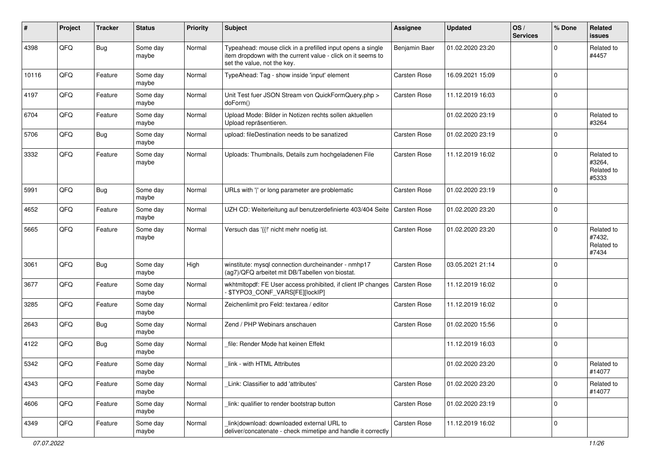| ∦     | Project | <b>Tracker</b> | <b>Status</b>     | <b>Priority</b> | <b>Subject</b>                                                                                                                                           | <b>Assignee</b>     | <b>Updated</b>   | OS/<br><b>Services</b> | % Done      | Related<br><b>issues</b>                    |
|-------|---------|----------------|-------------------|-----------------|----------------------------------------------------------------------------------------------------------------------------------------------------------|---------------------|------------------|------------------------|-------------|---------------------------------------------|
| 4398  | QFQ     | Bug            | Some day<br>maybe | Normal          | Typeahead: mouse click in a prefilled input opens a single<br>item dropdown with the current value - click on it seems to<br>set the value, not the key. | Benjamin Baer       | 01.02.2020 23:20 |                        | $\Omega$    | Related to<br>#4457                         |
| 10116 | QFQ     | Feature        | Some day<br>maybe | Normal          | TypeAhead: Tag - show inside 'input' element                                                                                                             | <b>Carsten Rose</b> | 16.09.2021 15:09 |                        | $\Omega$    |                                             |
| 4197  | QFQ     | Feature        | Some day<br>maybe | Normal          | Unit Test fuer JSON Stream von QuickFormQuery.php ><br>doForm()                                                                                          | <b>Carsten Rose</b> | 11.12.2019 16:03 |                        | $\mathbf 0$ |                                             |
| 6704  | QFQ     | Feature        | Some day<br>maybe | Normal          | Upload Mode: Bilder in Notizen rechts sollen aktuellen<br>Upload repräsentieren.                                                                         |                     | 01.02.2020 23:19 |                        | 0           | Related to<br>#3264                         |
| 5706  | QFQ     | Bug            | Some day<br>maybe | Normal          | upload: fileDestination needs to be sanatized                                                                                                            | <b>Carsten Rose</b> | 01.02.2020 23:19 |                        | $\Omega$    |                                             |
| 3332  | QFQ     | Feature        | Some day<br>maybe | Normal          | Uploads: Thumbnails, Details zum hochgeladenen File                                                                                                      | <b>Carsten Rose</b> | 11.12.2019 16:02 |                        | $\Omega$    | Related to<br>#3264,<br>Related to<br>#5333 |
| 5991  | QFQ     | <b>Bug</b>     | Some day<br>maybe | Normal          | URLs with ' ' or long parameter are problematic                                                                                                          | <b>Carsten Rose</b> | 01.02.2020 23:19 |                        | $\Omega$    |                                             |
| 4652  | QFQ     | Feature        | Some day<br>maybe | Normal          | UZH CD: Weiterleitung auf benutzerdefinierte 403/404 Seite                                                                                               | Carsten Rose        | 01.02.2020 23:20 |                        | $\Omega$    |                                             |
| 5665  | QFQ     | Feature        | Some day<br>maybe | Normal          | Versuch das '{{!' nicht mehr noetig ist.                                                                                                                 | Carsten Rose        | 01.02.2020 23:20 |                        | $\Omega$    | Related to<br>#7432,<br>Related to<br>#7434 |
| 3061  | QFQ     | Bug            | Some day<br>maybe | High            | winstitute: mysql connection durcheinander - nmhp17<br>(ag7)/QFQ arbeitet mit DB/Tabellen von biostat.                                                   | <b>Carsten Rose</b> | 03.05.2021 21:14 |                        | $\mathbf 0$ |                                             |
| 3677  | QFQ     | Feature        | Some day<br>maybe | Normal          | wkhtmltopdf: FE User access prohibited, if client IP changes<br>\$TYPO3_CONF_VARS[FE][lockIP]                                                            | Carsten Rose        | 11.12.2019 16:02 |                        | $\Omega$    |                                             |
| 3285  | QFQ     | Feature        | Some day<br>maybe | Normal          | Zeichenlimit pro Feld: textarea / editor                                                                                                                 | <b>Carsten Rose</b> | 11.12.2019 16:02 |                        | $\Omega$    |                                             |
| 2643  | QFQ     | Bug            | Some day<br>maybe | Normal          | Zend / PHP Webinars anschauen                                                                                                                            | <b>Carsten Rose</b> | 01.02.2020 15:56 |                        | $\Omega$    |                                             |
| 4122  | QFQ     | Bug            | Some day<br>maybe | Normal          | file: Render Mode hat keinen Effekt                                                                                                                      |                     | 11.12.2019 16:03 |                        | $\mathbf 0$ |                                             |
| 5342  | QFQ     | Feature        | Some day<br>maybe | Normal          | link - with HTML Attributes                                                                                                                              |                     | 01.02.2020 23:20 |                        | $\mathbf 0$ | Related to<br>#14077                        |
| 4343  | QFQ     | Feature        | Some day<br>maybe | Normal          | Link: Classifier to add 'attributes'                                                                                                                     | Carsten Rose        | 01.02.2020 23:20 |                        | $\mathbf 0$ | Related to<br>#14077                        |
| 4606  | QFQ     | Feature        | Some day<br>maybe | Normal          | link: qualifier to render bootstrap button                                                                                                               | Carsten Rose        | 01.02.2020 23:19 |                        | $\mathbf 0$ |                                             |
| 4349  | QFQ     | Feature        | Some day<br>maybe | Normal          | link download: downloaded external URL to<br>deliver/concatenate - check mimetipe and handle it correctly                                                | Carsten Rose        | 11.12.2019 16:02 |                        | 0           |                                             |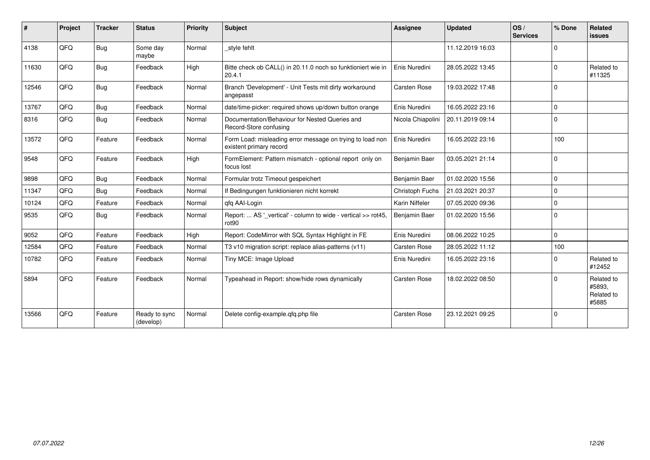| #     | Project | <b>Tracker</b> | <b>Status</b>              | Priority | <b>Subject</b>                                                                       | <b>Assignee</b>     | <b>Updated</b>   | OS/<br><b>Services</b> | % Done      | Related<br><b>issues</b>                    |
|-------|---------|----------------|----------------------------|----------|--------------------------------------------------------------------------------------|---------------------|------------------|------------------------|-------------|---------------------------------------------|
| 4138  | QFQ     | <b>Bug</b>     | Some day<br>maybe          | Normal   | style fehlt                                                                          |                     | 11.12.2019 16:03 |                        | $\Omega$    |                                             |
| 11630 | QFQ     | <b>Bug</b>     | Feedback                   | High     | Bitte check ob CALL() in 20.11.0 noch so funktioniert wie in<br>20.4.1               | Enis Nuredini       | 28.05.2022 13:45 |                        | $\Omega$    | Related to<br>#11325                        |
| 12546 | QFQ     | Bug            | Feedback                   | Normal   | Branch 'Development' - Unit Tests mit dirty workaround<br>angepasst                  | <b>Carsten Rose</b> | 19.03.2022 17:48 |                        | $\Omega$    |                                             |
| 13767 | QFQ     | <b>Bug</b>     | Feedback                   | Normal   | date/time-picker: required shows up/down button orange                               | Enis Nuredini       | 16.05.2022 23:16 |                        | $\mathbf 0$ |                                             |
| 8316  | QFQ     | <b>Bug</b>     | Feedback                   | Normal   | Documentation/Behaviour for Nested Queries and<br>Record-Store confusing             | Nicola Chiapolini   | 20.11.2019 09:14 |                        | $\mathbf 0$ |                                             |
| 13572 | QFQ     | Feature        | Feedback                   | Normal   | Form Load: misleading error message on trying to load non<br>existent primary record | Enis Nuredini       | 16.05.2022 23:16 |                        | 100         |                                             |
| 9548  | QFQ     | Feature        | Feedback                   | High     | FormElement: Pattern mismatch - optional report only on<br>focus lost                | Benjamin Baer       | 03.05.2021 21:14 |                        | $\Omega$    |                                             |
| 9898  | QFQ     | Bug            | Feedback                   | Normal   | Formular trotz Timeout gespeichert                                                   | Benjamin Baer       | 01.02.2020 15:56 |                        | $\Omega$    |                                             |
| 11347 | QFQ     | Bug            | Feedback                   | Normal   | If Bedingungen funktionieren nicht korrekt                                           | Christoph Fuchs     | 21.03.2021 20:37 |                        | $\Omega$    |                                             |
| 10124 | QFQ     | Feature        | Feedback                   | Normal   | qfq AAI-Login                                                                        | Karin Niffeler      | 07.05.2020 09:36 |                        | $\Omega$    |                                             |
| 9535  | QFQ     | Bug            | Feedback                   | Normal   | Report:  AS '_vertical' - column to wide - vertical >> rot45,<br>rot90               | Benjamin Baer       | 01.02.2020 15:56 |                        | $\Omega$    |                                             |
| 9052  | QFQ     | Feature        | Feedback                   | High     | Report: CodeMirror with SQL Syntax Highlight in FE                                   | Enis Nuredini       | 08.06.2022 10:25 |                        | $\Omega$    |                                             |
| 12584 | QFQ     | Feature        | Feedback                   | Normal   | T3 v10 migration script: replace alias-patterns (v11)                                | <b>Carsten Rose</b> | 28.05.2022 11:12 |                        | 100         |                                             |
| 10782 | QFQ     | Feature        | Feedback                   | Normal   | Tiny MCE: Image Upload                                                               | Enis Nuredini       | 16.05.2022 23:16 |                        | $\Omega$    | Related to<br>#12452                        |
| 5894  | QFQ     | Feature        | Feedback                   | Normal   | Typeahead in Report: show/hide rows dynamically                                      | <b>Carsten Rose</b> | 18.02.2022 08:50 |                        | $\Omega$    | Related to<br>#5893,<br>Related to<br>#5885 |
| 13566 | QFQ     | Feature        | Ready to sync<br>(develop) | Normal   | Delete config-example.qfq.php file                                                   | <b>Carsten Rose</b> | 23.12.2021 09:25 |                        | 0           |                                             |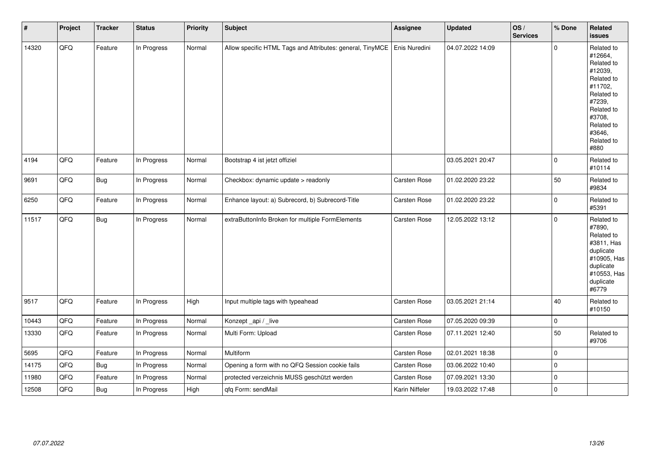| $\vert$ # | Project | <b>Tracker</b> | <b>Status</b> | Priority | <b>Subject</b>                                            | <b>Assignee</b> | <b>Updated</b>   | OS/<br><b>Services</b> | % Done      | Related<br><b>issues</b>                                                                                                                                              |
|-----------|---------|----------------|---------------|----------|-----------------------------------------------------------|-----------------|------------------|------------------------|-------------|-----------------------------------------------------------------------------------------------------------------------------------------------------------------------|
| 14320     | QFQ     | Feature        | In Progress   | Normal   | Allow specific HTML Tags and Attributes: general, TinyMCE | Enis Nuredini   | 04.07.2022 14:09 |                        | $\Omega$    | Related to<br>#12664,<br>Related to<br>#12039,<br>Related to<br>#11702,<br>Related to<br>#7239,<br>Related to<br>#3708,<br>Related to<br>#3646,<br>Related to<br>#880 |
| 4194      | QFQ     | Feature        | In Progress   | Normal   | Bootstrap 4 ist jetzt offiziel                            |                 | 03.05.2021 20:47 |                        | $\mathbf 0$ | Related to<br>#10114                                                                                                                                                  |
| 9691      | QFQ     | <b>Bug</b>     | In Progress   | Normal   | Checkbox: dynamic update > readonly                       | Carsten Rose    | 01.02.2020 23:22 |                        | 50          | Related to<br>#9834                                                                                                                                                   |
| 6250      | QFQ     | Feature        | In Progress   | Normal   | Enhance layout: a) Subrecord, b) Subrecord-Title          | Carsten Rose    | 01.02.2020 23:22 |                        | $\mathbf 0$ | Related to<br>#5391                                                                                                                                                   |
| 11517     | QFQ     | <b>Bug</b>     | In Progress   | Normal   | extraButtonInfo Broken for multiple FormElements          | Carsten Rose    | 12.05.2022 13:12 |                        | $\mathbf 0$ | Related to<br>#7890,<br>Related to<br>#3811, Has<br>duplicate<br>#10905, Has<br>duplicate<br>#10553, Has<br>duplicate<br>#6779                                        |
| 9517      | QFQ     | Feature        | In Progress   | High     | Input multiple tags with typeahead                        | Carsten Rose    | 03.05.2021 21:14 |                        | 40          | Related to<br>#10150                                                                                                                                                  |
| 10443     | QFQ     | Feature        | In Progress   | Normal   | Konzept_api / _live                                       | Carsten Rose    | 07.05.2020 09:39 |                        | $\pmb{0}$   |                                                                                                                                                                       |
| 13330     | QFQ     | Feature        | In Progress   | Normal   | Multi Form: Upload                                        | Carsten Rose    | 07.11.2021 12:40 |                        | 50          | Related to<br>#9706                                                                                                                                                   |
| 5695      | QFQ     | Feature        | In Progress   | Normal   | Multiform                                                 | Carsten Rose    | 02.01.2021 18:38 |                        | 0           |                                                                                                                                                                       |
| 14175     | QFQ     | <b>Bug</b>     | In Progress   | Normal   | Opening a form with no QFQ Session cookie fails           | Carsten Rose    | 03.06.2022 10:40 |                        | $\mathbf 0$ |                                                                                                                                                                       |
| 11980     | QFQ     | Feature        | In Progress   | Normal   | protected verzeichnis MUSS geschützt werden               | Carsten Rose    | 07.09.2021 13:30 |                        | $\mathbf 0$ |                                                                                                                                                                       |
| 12508     | QFQ     | Bug            | In Progress   | High     | qfq Form: sendMail                                        | Karin Niffeler  | 19.03.2022 17:48 |                        | $\mathbf 0$ |                                                                                                                                                                       |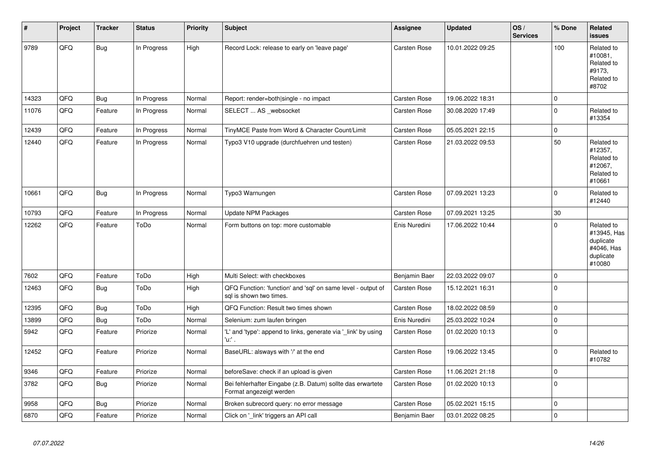| $\vert$ # | Project | <b>Tracker</b> | <b>Status</b> | <b>Priority</b> | <b>Subject</b>                                                                          | <b>Assignee</b>     | <b>Updated</b>   | OS/<br><b>Services</b> | % Done      | Related<br><b>issues</b>                                                    |
|-----------|---------|----------------|---------------|-----------------|-----------------------------------------------------------------------------------------|---------------------|------------------|------------------------|-------------|-----------------------------------------------------------------------------|
| 9789      | QFQ     | <b>Bug</b>     | In Progress   | High            | Record Lock: release to early on 'leave page'                                           | <b>Carsten Rose</b> | 10.01.2022 09:25 |                        | 100         | Related to<br>#10081,<br>Related to<br>#9173,<br>Related to<br>#8702        |
| 14323     | QFQ     | <b>Bug</b>     | In Progress   | Normal          | Report: render=both single - no impact                                                  | <b>Carsten Rose</b> | 19.06.2022 18:31 |                        | $\mathbf 0$ |                                                                             |
| 11076     | QFQ     | Feature        | In Progress   | Normal          | SELECT  AS _websocket                                                                   | <b>Carsten Rose</b> | 30.08.2020 17:49 |                        | $\mathbf 0$ | Related to<br>#13354                                                        |
| 12439     | QFQ     | Feature        | In Progress   | Normal          | TinyMCE Paste from Word & Character Count/Limit                                         | <b>Carsten Rose</b> | 05.05.2021 22:15 |                        | $\mathbf 0$ |                                                                             |
| 12440     | QFQ     | Feature        | In Progress   | Normal          | Typo3 V10 upgrade (durchfuehren und testen)                                             | <b>Carsten Rose</b> | 21.03.2022 09:53 |                        | 50          | Related to<br>#12357,<br>Related to<br>#12067,<br>Related to<br>#10661      |
| 10661     | QFQ     | Bug            | In Progress   | Normal          | Typo3 Warnungen                                                                         | <b>Carsten Rose</b> | 07.09.2021 13:23 |                        | $\Omega$    | Related to<br>#12440                                                        |
| 10793     | QFQ     | Feature        | In Progress   | Normal          | <b>Update NPM Packages</b>                                                              | <b>Carsten Rose</b> | 07.09.2021 13:25 |                        | 30          |                                                                             |
| 12262     | QFQ     | Feature        | ToDo          | Normal          | Form buttons on top: more customable                                                    | Enis Nuredini       | 17.06.2022 10:44 |                        | $\Omega$    | Related to<br>#13945, Has<br>duplicate<br>#4046, Has<br>duplicate<br>#10080 |
| 7602      | QFQ     | Feature        | ToDo          | High            | Multi Select: with checkboxes                                                           | Benjamin Baer       | 22.03.2022 09:07 |                        | $\mathsf 0$ |                                                                             |
| 12463     | QFQ     | Bug            | ToDo          | High            | QFQ Function: 'function' and 'sql' on same level - output of<br>sal is shown two times. | Carsten Rose        | 15.12.2021 16:31 |                        | $\mathbf 0$ |                                                                             |
| 12395     | QFQ     | <b>Bug</b>     | ToDo          | High            | QFQ Function: Result two times shown                                                    | <b>Carsten Rose</b> | 18.02.2022 08:59 |                        | $\mathsf 0$ |                                                                             |
| 13899     | QFQ     | Bug            | ToDo          | Normal          | Selenium: zum laufen bringen                                                            | Enis Nuredini       | 25.03.2022 10:24 |                        | $\pmb{0}$   |                                                                             |
| 5942      | QFQ     | Feature        | Priorize      | Normal          | 'L' and 'type': append to links, generate via '_link' by using<br>'u.' .                | Carsten Rose        | 01.02.2020 10:13 |                        | $\pmb{0}$   |                                                                             |
| 12452     | QFQ     | Feature        | Priorize      | Normal          | BaseURL: alsways with '/' at the end                                                    | Carsten Rose        | 19.06.2022 13:45 |                        | $\mathbf 0$ | Related to<br>#10782                                                        |
| 9346      | QFQ     | Feature        | Priorize      | Normal          | beforeSave: check if an upload is given                                                 | <b>Carsten Rose</b> | 11.06.2021 21:18 |                        | $\mathbf 0$ |                                                                             |
| 3782      | QFQ     | Bug            | Priorize      | Normal          | Bei fehlerhafter Eingabe (z.B. Datum) sollte das erwartete<br>Format angezeigt werden   | Carsten Rose        | 01.02.2020 10:13 |                        | $\pmb{0}$   |                                                                             |
| 9958      | QFQ     | Bug            | Priorize      | Normal          | Broken subrecord query: no error message                                                | <b>Carsten Rose</b> | 05.02.2021 15:15 |                        | $\mathbf 0$ |                                                                             |
| 6870      | QFQ     | Feature        | Priorize      | Normal          | Click on '_link' triggers an API call                                                   | Benjamin Baer       | 03.01.2022 08:25 |                        | $\pmb{0}$   |                                                                             |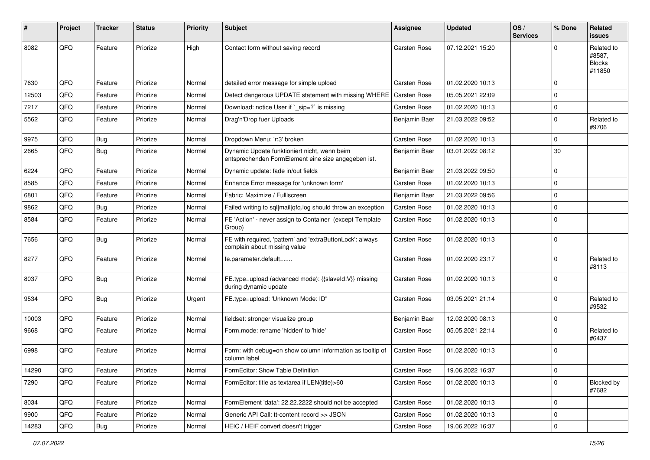| #     | Project | <b>Tracker</b> | <b>Status</b> | <b>Priority</b> | <b>Subject</b>                                                                                      | <b>Assignee</b>     | <b>Updated</b>   | OS/<br><b>Services</b> | % Done      | Related<br>issues                               |
|-------|---------|----------------|---------------|-----------------|-----------------------------------------------------------------------------------------------------|---------------------|------------------|------------------------|-------------|-------------------------------------------------|
| 8082  | QFQ     | Feature        | Priorize      | High            | Contact form without saving record                                                                  | <b>Carsten Rose</b> | 07.12.2021 15:20 |                        | 0           | Related to<br>#8587,<br><b>Blocks</b><br>#11850 |
| 7630  | QFQ     | Feature        | Priorize      | Normal          | detailed error message for simple upload                                                            | <b>Carsten Rose</b> | 01.02.2020 10:13 |                        | $\Omega$    |                                                 |
| 12503 | QFQ     | Feature        | Priorize      | Normal          | Detect dangerous UPDATE statement with missing WHERE                                                | <b>Carsten Rose</b> | 05.05.2021 22:09 |                        | $\mathbf 0$ |                                                 |
| 7217  | QFQ     | Feature        | Priorize      | Normal          | Download: notice User if `_sip=?` is missing                                                        | <b>Carsten Rose</b> | 01.02.2020 10:13 |                        | $\mathbf 0$ |                                                 |
| 5562  | QFQ     | Feature        | Priorize      | Normal          | Drag'n'Drop fuer Uploads                                                                            | Benjamin Baer       | 21.03.2022 09:52 |                        | $\Omega$    | Related to<br>#9706                             |
| 9975  | QFQ     | Bug            | Priorize      | Normal          | Dropdown Menu: 'r:3' broken                                                                         | <b>Carsten Rose</b> | 01.02.2020 10:13 |                        | $\mathbf 0$ |                                                 |
| 2665  | QFQ     | Bug            | Priorize      | Normal          | Dynamic Update funktioniert nicht, wenn beim<br>entsprechenden FormElement eine size angegeben ist. | Benjamin Baer       | 03.01.2022 08:12 |                        | 30          |                                                 |
| 6224  | QFQ     | Feature        | Priorize      | Normal          | Dynamic update: fade in/out fields                                                                  | Benjamin Baer       | 21.03.2022 09:50 |                        | $\Omega$    |                                                 |
| 8585  | QFQ     | Feature        | Priorize      | Normal          | Enhance Error message for 'unknown form'                                                            | Carsten Rose        | 01.02.2020 10:13 |                        | $\mathbf 0$ |                                                 |
| 6801  | QFQ     | Feature        | Priorize      | Normal          | Fabric: Maximize / FullIscreen                                                                      | Benjamin Baer       | 21.03.2022 09:56 |                        | $\mathbf 0$ |                                                 |
| 9862  | QFQ     | Bug            | Priorize      | Normal          | Failed writing to sql mail qfq.log should throw an exception                                        | Carsten Rose        | 01.02.2020 10:13 |                        | $\mathbf 0$ |                                                 |
| 8584  | QFQ     | Feature        | Priorize      | Normal          | FE 'Action' - never assign to Container (except Template<br>Group)                                  | Carsten Rose        | 01.02.2020 10:13 |                        | $\Omega$    |                                                 |
| 7656  | QFQ     | Bug            | Priorize      | Normal          | FE with required, 'pattern' and 'extraButtonLock': always<br>complain about missing value           | <b>Carsten Rose</b> | 01.02.2020 10:13 |                        | $\Omega$    |                                                 |
| 8277  | QFQ     | Feature        | Priorize      | Normal          | fe.parameter.default=                                                                               | <b>Carsten Rose</b> | 01.02.2020 23:17 |                        | $\Omega$    | Related to<br>#8113                             |
| 8037  | QFQ     | Bug            | Priorize      | Normal          | FE.type=upload (advanced mode): {{slaveld:V}} missing<br>during dynamic update                      | <b>Carsten Rose</b> | 01.02.2020 10:13 |                        | $\Omega$    |                                                 |
| 9534  | QFQ     | Bug            | Priorize      | Urgent          | FE.type=upload: 'Unknown Mode: ID"                                                                  | <b>Carsten Rose</b> | 03.05.2021 21:14 |                        | $\Omega$    | Related to<br>#9532                             |
| 10003 | QFQ     | Feature        | Priorize      | Normal          | fieldset: stronger visualize group                                                                  | Benjamin Baer       | 12.02.2020 08:13 |                        | $\mathbf 0$ |                                                 |
| 9668  | QFQ     | Feature        | Priorize      | Normal          | Form.mode: rename 'hidden' to 'hide'                                                                | Carsten Rose        | 05.05.2021 22:14 |                        | $\Omega$    | Related to<br>#6437                             |
| 6998  | QFQ     | Feature        | Priorize      | Normal          | Form: with debug=on show column information as tooltip of<br>column label                           | Carsten Rose        | 01.02.2020 10:13 |                        | $\Omega$    |                                                 |
| 14290 | QFQ     | Feature        | Priorize      | Normal          | FormEditor: Show Table Definition                                                                   | Carsten Rose        | 19.06.2022 16:37 |                        | l 0         |                                                 |
| 7290  | QFQ     | Feature        | Priorize      | Normal          | FormEditor: title as textarea if LEN(title)>60                                                      | Carsten Rose        | 01.02.2020 10:13 |                        | $\mathbf 0$ | Blocked by<br>#7682                             |
| 8034  | QFQ     | Feature        | Priorize      | Normal          | FormElement 'data': 22.22.2222 should not be accepted                                               | Carsten Rose        | 01.02.2020 10:13 |                        | $\mathbf 0$ |                                                 |
| 9900  | QFQ     | Feature        | Priorize      | Normal          | Generic API Call: tt-content record >> JSON                                                         | Carsten Rose        | 01.02.2020 10:13 |                        | 0           |                                                 |
| 14283 | QFQ     | Bug            | Priorize      | Normal          | HEIC / HEIF convert doesn't trigger                                                                 | Carsten Rose        | 19.06.2022 16:37 |                        | $\mathbf 0$ |                                                 |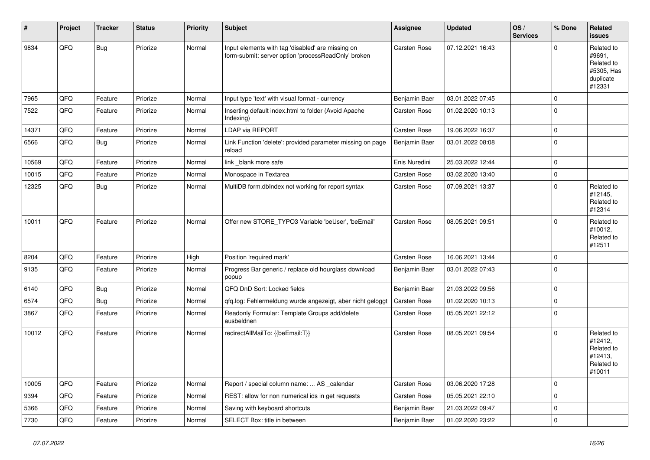| #     | Project | <b>Tracker</b> | <b>Status</b> | <b>Priority</b> | <b>Subject</b>                                                                                           | <b>Assignee</b>     | <b>Updated</b>   | OS/<br><b>Services</b> | % Done      | Related<br><b>issues</b>                                                |
|-------|---------|----------------|---------------|-----------------|----------------------------------------------------------------------------------------------------------|---------------------|------------------|------------------------|-------------|-------------------------------------------------------------------------|
| 9834  | QFQ     | <b>Bug</b>     | Priorize      | Normal          | Input elements with tag 'disabled' are missing on<br>form-submit: server option 'processReadOnly' broken | Carsten Rose        | 07.12.2021 16:43 |                        | $\Omega$    | Related to<br>#9691,<br>Related to<br>#5305, Has<br>duplicate<br>#12331 |
| 7965  | QFQ     | Feature        | Priorize      | Normal          | Input type 'text' with visual format - currency                                                          | Benjamin Baer       | 03.01.2022 07:45 |                        | $\mathbf 0$ |                                                                         |
| 7522  | QFQ     | Feature        | Priorize      | Normal          | Inserting default index.html to folder (Avoid Apache<br>Indexing)                                        | Carsten Rose        | 01.02.2020 10:13 |                        | $\mathbf 0$ |                                                                         |
| 14371 | QFQ     | Feature        | Priorize      | Normal          | LDAP via REPORT                                                                                          | Carsten Rose        | 19.06.2022 16:37 |                        | $\mathbf 0$ |                                                                         |
| 6566  | QFQ     | Bug            | Priorize      | Normal          | Link Function 'delete': provided parameter missing on page<br>reload                                     | Benjamin Baer       | 03.01.2022 08:08 |                        | $\Omega$    |                                                                         |
| 10569 | QFQ     | Feature        | Priorize      | Normal          | link _blank more safe                                                                                    | Enis Nuredini       | 25.03.2022 12:44 |                        | $\Omega$    |                                                                         |
| 10015 | QFQ     | Feature        | Priorize      | Normal          | Monospace in Textarea                                                                                    | Carsten Rose        | 03.02.2020 13:40 |                        | $\Omega$    |                                                                         |
| 12325 | QFQ     | Bug            | Priorize      | Normal          | MultiDB form.dbIndex not working for report syntax                                                       | Carsten Rose        | 07.09.2021 13:37 |                        | $\Omega$    | Related to<br>#12145,<br>Related to<br>#12314                           |
| 10011 | QFQ     | Feature        | Priorize      | Normal          | Offer new STORE_TYPO3 Variable 'beUser', 'beEmail'                                                       | Carsten Rose        | 08.05.2021 09:51 |                        | $\Omega$    | Related to<br>#10012,<br>Related to<br>#12511                           |
| 8204  | QFQ     | Feature        | Priorize      | High            | Position 'required mark'                                                                                 | Carsten Rose        | 16.06.2021 13:44 |                        | $\mathbf 0$ |                                                                         |
| 9135  | QFQ     | Feature        | Priorize      | Normal          | Progress Bar generic / replace old hourglass download<br>popup                                           | Benjamin Baer       | 03.01.2022 07:43 |                        | $\Omega$    |                                                                         |
| 6140  | QFQ     | Bug            | Priorize      | Normal          | QFQ DnD Sort: Locked fields                                                                              | Benjamin Baer       | 21.03.2022 09:56 |                        | $\mathbf 0$ |                                                                         |
| 6574  | QFQ     | <b>Bug</b>     | Priorize      | Normal          | gfg.log: Fehlermeldung wurde angezeigt, aber nicht geloggt                                               | <b>Carsten Rose</b> | 01.02.2020 10:13 |                        | $\mathbf 0$ |                                                                         |
| 3867  | QFQ     | Feature        | Priorize      | Normal          | Readonly Formular: Template Groups add/delete<br>ausbeldnen                                              | Carsten Rose        | 05.05.2021 22:12 |                        | 0           |                                                                         |
| 10012 | QFQ     | Feature        | Priorize      | Normal          | redirectAllMailTo: {{beEmail:T}}                                                                         | <b>Carsten Rose</b> | 08.05.2021 09:54 |                        | $\Omega$    | Related to<br>#12412,<br>Related to<br>#12413,<br>Related to<br>#10011  |
| 10005 | QFQ     | Feature        | Priorize      | Normal          | Report / special column name:  AS _calendar                                                              | Carsten Rose        | 03.06.2020 17:28 |                        | $\Omega$    |                                                                         |
| 9394  | QFQ     | Feature        | Priorize      | Normal          | REST: allow for non numerical ids in get requests                                                        | Carsten Rose        | 05.05.2021 22:10 |                        | $\mathbf 0$ |                                                                         |
| 5366  | QFQ     | Feature        | Priorize      | Normal          | Saving with keyboard shortcuts                                                                           | Benjamin Baer       | 21.03.2022 09:47 |                        | $\mathbf 0$ |                                                                         |
| 7730  | QFQ     | Feature        | Priorize      | Normal          | SELECT Box: title in between                                                                             | Benjamin Baer       | 01.02.2020 23:22 |                        | $\mathbf 0$ |                                                                         |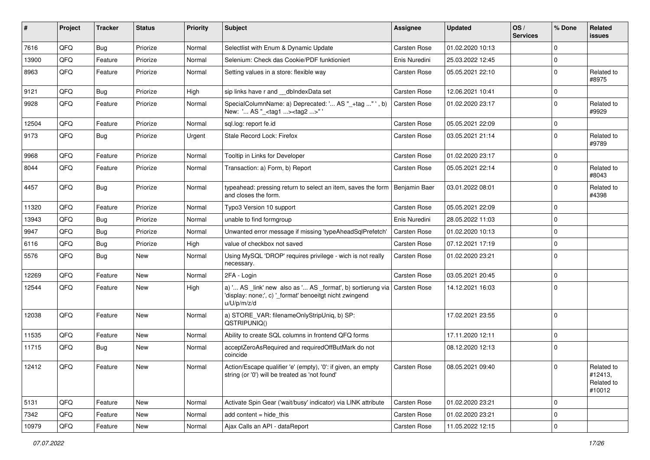| ∦     | Project | <b>Tracker</b> | <b>Status</b> | <b>Priority</b> | <b>Subject</b>                                                                                                                        | <b>Assignee</b>     | <b>Updated</b>   | OS/<br><b>Services</b> | % Done      | Related<br>issues                             |
|-------|---------|----------------|---------------|-----------------|---------------------------------------------------------------------------------------------------------------------------------------|---------------------|------------------|------------------------|-------------|-----------------------------------------------|
| 7616  | QFQ     | Bug            | Priorize      | Normal          | Selectlist with Enum & Dynamic Update                                                                                                 | Carsten Rose        | 01.02.2020 10:13 |                        | $\Omega$    |                                               |
| 13900 | QFQ     | Feature        | Priorize      | Normal          | Selenium: Check das Cookie/PDF funktioniert                                                                                           | Enis Nuredini       | 25.03.2022 12:45 |                        | $\Omega$    |                                               |
| 8963  | QFQ     | Feature        | Priorize      | Normal          | Setting values in a store: flexible way                                                                                               | Carsten Rose        | 05.05.2021 22:10 |                        | $\Omega$    | Related to<br>#8975                           |
| 9121  | QFQ     | Bug            | Priorize      | High            | sip links have r and __dbIndexData set                                                                                                | Carsten Rose        | 12.06.2021 10:41 |                        | 0           |                                               |
| 9928  | QFQ     | Feature        | Priorize      | Normal          | SpecialColumnName: a) Deprecated: ' AS "_+tag " ', b)<br>New: ' AS "_ <tag1><tag2>"'</tag2></tag1>                                    | Carsten Rose        | 01.02.2020 23:17 |                        | $\Omega$    | Related to<br>#9929                           |
| 12504 | QFQ     | Feature        | Priorize      | Normal          | sql.log: report fe.id                                                                                                                 | Carsten Rose        | 05.05.2021 22:09 |                        | 0           |                                               |
| 9173  | QFQ     | Bug            | Priorize      | Urgent          | Stale Record Lock: Firefox                                                                                                            | Carsten Rose        | 03.05.2021 21:14 |                        | $\Omega$    | Related to<br>#9789                           |
| 9968  | QFQ     | Feature        | Priorize      | Normal          | Tooltip in Links for Developer                                                                                                        | Carsten Rose        | 01.02.2020 23:17 |                        | $\Omega$    |                                               |
| 8044  | QFQ     | Feature        | Priorize      | Normal          | Transaction: a) Form, b) Report                                                                                                       | Carsten Rose        | 05.05.2021 22:14 |                        | $\Omega$    | Related to<br>#8043                           |
| 4457  | QFQ     | Bug            | Priorize      | Normal          | typeahead: pressing return to select an item, saves the form   Benjamin Baer<br>and closes the form.                                  |                     | 03.01.2022 08:01 |                        | 0           | Related to<br>#4398                           |
| 11320 | QFQ     | Feature        | Priorize      | Normal          | Typo3 Version 10 support                                                                                                              | Carsten Rose        | 05.05.2021 22:09 |                        | $\Omega$    |                                               |
| 13943 | QFQ     | Bug            | Priorize      | Normal          | unable to find formgroup                                                                                                              | Enis Nuredini       | 28.05.2022 11:03 |                        | $\Omega$    |                                               |
| 9947  | QFQ     | Bug            | Priorize      | Normal          | Unwanted error message if missing 'typeAheadSqlPrefetch'                                                                              | <b>Carsten Rose</b> | 01.02.2020 10:13 |                        | 0           |                                               |
| 6116  | QFQ     | <b>Bug</b>     | Priorize      | High            | value of checkbox not saved                                                                                                           | <b>Carsten Rose</b> | 07.12.2021 17:19 |                        | $\Omega$    |                                               |
| 5576  | QFQ     | Bug            | <b>New</b>    | Normal          | Using MySQL 'DROP' requires privilege - wich is not really<br>necessary.                                                              | Carsten Rose        | 01.02.2020 23:21 |                        | $\Omega$    |                                               |
| 12269 | QFQ     | Feature        | <b>New</b>    | Normal          | 2FA - Login                                                                                                                           | Carsten Rose        | 03.05.2021 20:45 |                        | $\Omega$    |                                               |
| 12544 | QFQ     | Feature        | <b>New</b>    | High            | a) ' AS _link' new also as ' AS _format', b) sortierung via<br>'display: none;', c) '_format' benoeitgt nicht zwingend<br>u/U/p/m/z/d | Carsten Rose        | 14.12.2021 16:03 |                        | $\mathbf 0$ |                                               |
| 12038 | QFQ     | Feature        | <b>New</b>    | Normal          | a) STORE_VAR: filenameOnlyStripUniq, b) SP:<br>QSTRIPUNIQ()                                                                           |                     | 17.02.2021 23:55 |                        | $\mathbf 0$ |                                               |
| 11535 | QFQ     | Feature        | <b>New</b>    | Normal          | Ability to create SQL columns in frontend QFQ forms                                                                                   |                     | 17.11.2020 12:11 |                        | $\Omega$    |                                               |
| 11715 | QFQ     | Bug            | New           | Normal          | acceptZeroAsRequired and requiredOffButMark do not<br>coincide                                                                        |                     | 08.12.2020 12:13 |                        | 0           |                                               |
| 12412 | QFG     | Feature        | New           | Normal          | Action/Escape qualifier 'e' (empty), '0': if given, an empty<br>string (or '0') will be treated as 'not found'                        | Carsten Rose        | 08.05.2021 09:40 |                        | $\Omega$    | Related to<br>#12413,<br>Related to<br>#10012 |
| 5131  | QFQ     | Feature        | New           | Normal          | Activate Spin Gear ('wait/busy' indicator) via LINK attribute                                                                         | <b>Carsten Rose</b> | 01.02.2020 23:21 |                        | $\mathbf 0$ |                                               |
| 7342  | QFQ     | Feature        | New           | Normal          | add content = hide_this                                                                                                               | Carsten Rose        | 01.02.2020 23:21 |                        | 0           |                                               |
| 10979 | QFQ     | Feature        | New           | Normal          | Ajax Calls an API - dataReport                                                                                                        | Carsten Rose        | 11.05.2022 12:15 |                        | $\mathbf 0$ |                                               |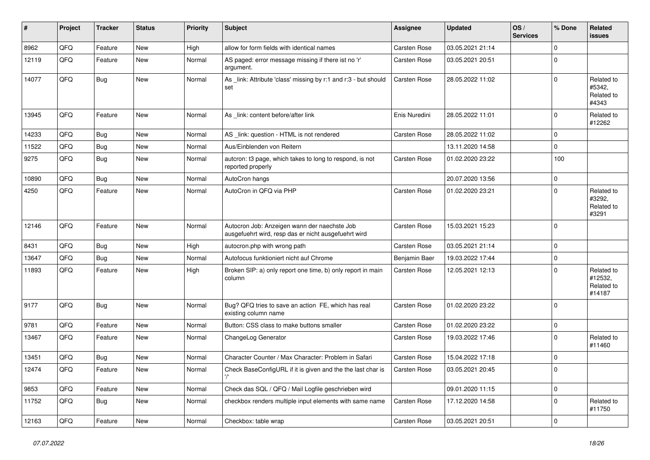| #     | Project | <b>Tracker</b> | <b>Status</b> | <b>Priority</b> | <b>Subject</b>                                                                                       | Assignee            | <b>Updated</b>   | OS/<br><b>Services</b> | % Done      | Related<br><b>issues</b>                      |
|-------|---------|----------------|---------------|-----------------|------------------------------------------------------------------------------------------------------|---------------------|------------------|------------------------|-------------|-----------------------------------------------|
| 8962  | QFQ     | Feature        | <b>New</b>    | High            | allow for form fields with identical names                                                           | <b>Carsten Rose</b> | 03.05.2021 21:14 |                        | $\Omega$    |                                               |
| 12119 | QFQ     | Feature        | New           | Normal          | AS paged: error message missing if there ist no 'r'<br>argument.                                     | Carsten Rose        | 03.05.2021 20:51 |                        | $\Omega$    |                                               |
| 14077 | QFQ     | Bug            | <b>New</b>    | Normal          | As _link: Attribute 'class' missing by r:1 and r:3 - but should<br>set                               | <b>Carsten Rose</b> | 28.05.2022 11:02 |                        | $\Omega$    | Related to<br>#5342,<br>Related to<br>#4343   |
| 13945 | QFQ     | Feature        | <b>New</b>    | Normal          | As link: content before/after link                                                                   | Enis Nuredini       | 28.05.2022 11:01 |                        | $\Omega$    | Related to<br>#12262                          |
| 14233 | QFQ     | Bug            | <b>New</b>    | Normal          | AS _link: question - HTML is not rendered                                                            | <b>Carsten Rose</b> | 28.05.2022 11:02 |                        | $\mathbf 0$ |                                               |
| 11522 | QFQ     | <b>Bug</b>     | <b>New</b>    | Normal          | Aus/Einblenden von Reitern                                                                           |                     | 13.11.2020 14:58 |                        | $\Omega$    |                                               |
| 9275  | QFQ     | <b>Bug</b>     | New           | Normal          | autcron: t3 page, which takes to long to respond, is not<br>reported properly                        | <b>Carsten Rose</b> | 01.02.2020 23:22 |                        | 100         |                                               |
| 10890 | QFQ     | Bug            | <b>New</b>    | Normal          | AutoCron hangs                                                                                       |                     | 20.07.2020 13:56 |                        | $\mathbf 0$ |                                               |
| 4250  | QFQ     | Feature        | <b>New</b>    | Normal          | AutoCron in QFQ via PHP                                                                              | Carsten Rose        | 01.02.2020 23:21 |                        | $\Omega$    | Related to<br>#3292,<br>Related to<br>#3291   |
| 12146 | QFQ     | Feature        | <b>New</b>    | Normal          | Autocron Job: Anzeigen wann der naechste Job<br>ausgefuehrt wird, resp das er nicht ausgefuehrt wird | <b>Carsten Rose</b> | 15.03.2021 15:23 |                        | $\Omega$    |                                               |
| 8431  | QFQ     | Bug            | <b>New</b>    | High            | autocron.php with wrong path                                                                         | <b>Carsten Rose</b> | 03.05.2021 21:14 |                        | $\mathbf 0$ |                                               |
| 13647 | QFQ     | <b>Bug</b>     | <b>New</b>    | Normal          | Autofocus funktioniert nicht auf Chrome                                                              | Benjamin Baer       | 19.03.2022 17:44 |                        | $\Omega$    |                                               |
| 11893 | QFQ     | Feature        | New           | High            | Broken SIP: a) only report one time, b) only report in main<br>column                                | Carsten Rose        | 12.05.2021 12:13 |                        | $\Omega$    | Related to<br>#12532,<br>Related to<br>#14187 |
| 9177  | QFQ     | Bug            | <b>New</b>    | Normal          | Bug? QFQ tries to save an action FE, which has real<br>existing column name                          | Carsten Rose        | 01.02.2020 23:22 |                        | $\Omega$    |                                               |
| 9781  | QFQ     | Feature        | <b>New</b>    | Normal          | Button: CSS class to make buttons smaller                                                            | <b>Carsten Rose</b> | 01.02.2020 23:22 |                        | $\mathbf 0$ |                                               |
| 13467 | QFQ     | Feature        | New           | Normal          | ChangeLog Generator                                                                                  | Carsten Rose        | 19.03.2022 17:46 |                        | $\Omega$    | Related to<br>#11460                          |
| 13451 | QFQ     | Bug            | New           | Normal          | Character Counter / Max Character: Problem in Safari                                                 | <b>Carsten Rose</b> | 15.04.2022 17:18 |                        | $\mathbf 0$ |                                               |
| 12474 | QFG     | I Feature      | New           | Normal          | Check BaseConfigURL if it is given and the the last char is                                          | Carsten Rose        | 03.05.2021 20:45 |                        | 0           |                                               |
| 9853  | QFQ     | Feature        | New           | Normal          | Check das SQL / QFQ / Mail Logfile geschrieben wird                                                  |                     | 09.01.2020 11:15 |                        | $\mathbf 0$ |                                               |
| 11752 | QFQ     | Bug            | New           | Normal          | checkbox renders multiple input elements with same name                                              | Carsten Rose        | 17.12.2020 14:58 |                        | $\mathbf 0$ | Related to<br>#11750                          |
| 12163 | QFQ     | Feature        | New           | Normal          | Checkbox: table wrap                                                                                 | Carsten Rose        | 03.05.2021 20:51 |                        | $\mathbf 0$ |                                               |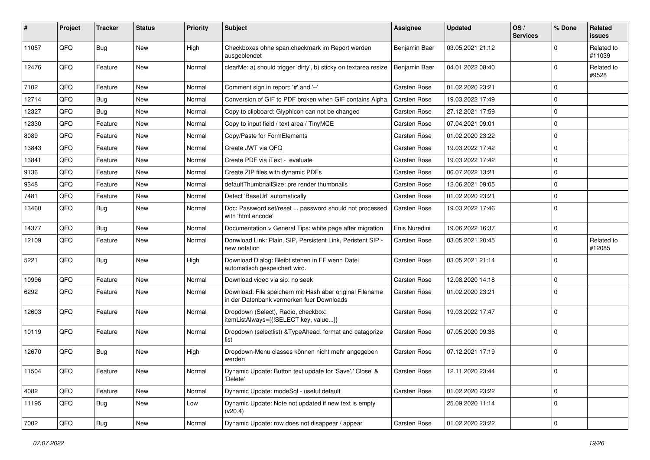| #     | Project    | <b>Tracker</b> | <b>Status</b> | <b>Priority</b> | <b>Subject</b>                                                                                        | <b>Assignee</b>     | <b>Updated</b>   | OS/<br><b>Services</b> | % Done              | Related<br>issues    |
|-------|------------|----------------|---------------|-----------------|-------------------------------------------------------------------------------------------------------|---------------------|------------------|------------------------|---------------------|----------------------|
| 11057 | QFQ        | Bug            | New           | High            | Checkboxes ohne span.checkmark im Report werden<br>ausgeblendet                                       | Benjamin Baer       | 03.05.2021 21:12 |                        | 0                   | Related to<br>#11039 |
| 12476 | QFQ        | Feature        | <b>New</b>    | Normal          | clearMe: a) should trigger 'dirty', b) sticky on textarea resize                                      | Benjamin Baer       | 04.01.2022 08:40 |                        | 0                   | Related to<br>#9528  |
| 7102  | QFQ        | Feature        | New           | Normal          | Comment sign in report: '#' and '--'                                                                  | <b>Carsten Rose</b> | 01.02.2020 23:21 |                        | $\mathbf 0$         |                      |
| 12714 | QFQ        | <b>Bug</b>     | New           | Normal          | Conversion of GIF to PDF broken when GIF contains Alpha.                                              | <b>Carsten Rose</b> | 19.03.2022 17:49 |                        | $\mathbf 0$         |                      |
| 12327 | QFQ        | Bug            | New           | Normal          | Copy to clipboard: Glyphicon can not be changed                                                       | <b>Carsten Rose</b> | 27.12.2021 17:59 |                        | $\mathbf 0$         |                      |
| 12330 | QFQ        | Feature        | New           | Normal          | Copy to input field / text area / TinyMCE                                                             | Carsten Rose        | 07.04.2021 09:01 |                        | 0                   |                      |
| 8089  | QFQ        | Feature        | <b>New</b>    | Normal          | Copy/Paste for FormElements                                                                           | <b>Carsten Rose</b> | 01.02.2020 23:22 |                        | 0                   |                      |
| 13843 | QFQ        | Feature        | New           | Normal          | Create JWT via QFQ                                                                                    | <b>Carsten Rose</b> | 19.03.2022 17:42 |                        | $\mathbf{0}$        |                      |
| 13841 | QFQ        | Feature        | New           | Normal          | Create PDF via iText - evaluate                                                                       | Carsten Rose        | 19.03.2022 17:42 |                        | $\mathbf 0$         |                      |
| 9136  | QFQ        | Feature        | New           | Normal          | Create ZIP files with dynamic PDFs                                                                    | <b>Carsten Rose</b> | 06.07.2022 13:21 |                        | $\mathbf 0$         |                      |
| 9348  | QFQ        | Feature        | New           | Normal          | defaultThumbnailSize: pre render thumbnails                                                           | <b>Carsten Rose</b> | 12.06.2021 09:05 |                        | 0                   |                      |
| 7481  | QFQ        | Feature        | New           | Normal          | Detect 'BaseUrl' automatically                                                                        | Carsten Rose        | 01.02.2020 23:21 |                        | $\mathbf 0$         |                      |
| 13460 | QFQ        | Bug            | New           | Normal          | Doc: Password set/reset  password should not processed<br>with 'html encode'                          | Carsten Rose        | 19.03.2022 17:46 |                        | $\mathbf 0$         |                      |
| 14377 | QFQ        | Bug            | New           | Normal          | Documentation > General Tips: white page after migration                                              | Enis Nuredini       | 19.06.2022 16:37 |                        | 0                   |                      |
| 12109 | QFQ        | Feature        | New           | Normal          | Donwload Link: Plain, SIP, Persistent Link, Peristent SIP -<br>new notation                           | Carsten Rose        | 03.05.2021 20:45 |                        | $\mathbf 0$         | Related to<br>#12085 |
| 5221  | QFQ        | Bug            | New           | High            | Download Dialog: Bleibt stehen in FF wenn Datei<br>automatisch gespeichert wird.                      | Carsten Rose        | 03.05.2021 21:14 |                        | $\mathbf 0$         |                      |
| 10996 | QFQ        | Feature        | New           | Normal          | Download video via sip: no seek                                                                       | Carsten Rose        | 12.08.2020 14:18 |                        | $\mathbf 0$         |                      |
| 6292  | QFQ        | Feature        | New           | Normal          | Download: File speichern mit Hash aber original Filename<br>in der Datenbank vermerken fuer Downloads | <b>Carsten Rose</b> | 01.02.2020 23:21 |                        | $\mathbf 0$         |                      |
| 12603 | QFQ        | Feature        | <b>New</b>    | Normal          | Dropdown (Select), Radio, checkbox:<br>itemListAlways={{!SELECT key, value}}                          | <b>Carsten Rose</b> | 19.03.2022 17:47 |                        | $\mathbf 0$         |                      |
| 10119 | QFQ        | Feature        | New           | Normal          | Dropdown (selectlist) & TypeAhead: format and catagorize<br>list                                      | <b>Carsten Rose</b> | 07.05.2020 09:36 |                        | 0                   |                      |
| 12670 | QFQ        | Bug            | New           | High            | Dropdown-Menu classes können nicht mehr angegeben<br>werden                                           | <b>Carsten Rose</b> | 07.12.2021 17:19 |                        | 0                   |                      |
| 11504 | <b>QFQ</b> | Feature        | New           | Normal          | Dynamic Update: Button text update for 'Save',' Close' &<br>'Delete'                                  | <b>Carsten Rose</b> | 12.11.2020 23:44 |                        | 0                   |                      |
| 4082  | QFQ        | Feature        | New           | Normal          | Dynamic Update: modeSql - useful default                                                              | Carsten Rose        | 01.02.2020 23:22 |                        | $\mathsf{O}\xspace$ |                      |
| 11195 | QFQ        | Bug            | New           | Low             | Dynamic Update: Note not updated if new text is empty<br>(v20.4)                                      |                     | 25.09.2020 11:14 |                        | 0                   |                      |
| 7002  | QFQ        | Bug            | New           | Normal          | Dynamic Update: row does not disappear / appear                                                       | Carsten Rose        | 01.02.2020 23:22 |                        | $\mathsf{O}\xspace$ |                      |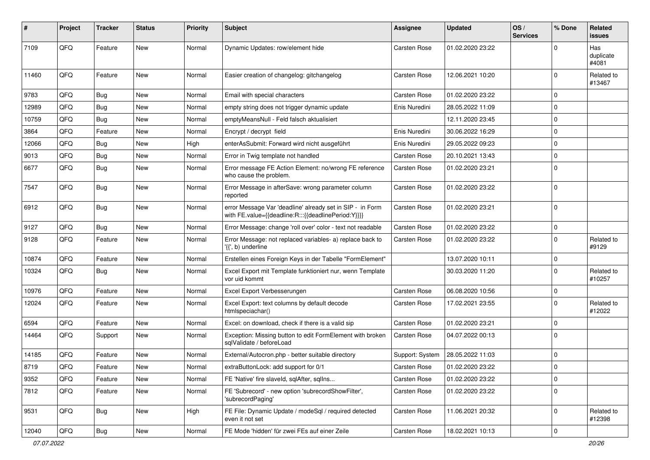| ∦     | Project        | <b>Tracker</b> | <b>Status</b> | <b>Priority</b> | <b>Subject</b>                                                                                                   | Assignee            | <b>Updated</b>   | OS/<br><b>Services</b> | % Done      | Related<br>issues         |
|-------|----------------|----------------|---------------|-----------------|------------------------------------------------------------------------------------------------------------------|---------------------|------------------|------------------------|-------------|---------------------------|
| 7109  | QFQ            | Feature        | New           | Normal          | Dynamic Updates: row/element hide                                                                                | Carsten Rose        | 01.02.2020 23:22 |                        | 0           | Has<br>duplicate<br>#4081 |
| 11460 | QFQ            | Feature        | <b>New</b>    | Normal          | Easier creation of changelog: gitchangelog                                                                       | <b>Carsten Rose</b> | 12.06.2021 10:20 |                        | $\Omega$    | Related to<br>#13467      |
| 9783  | QFQ            | Bug            | <b>New</b>    | Normal          | Email with special characters                                                                                    | Carsten Rose        | 01.02.2020 23:22 |                        | $\Omega$    |                           |
| 12989 | QFQ            | Bug            | New           | Normal          | empty string does not trigger dynamic update                                                                     | Enis Nuredini       | 28.05.2022 11:09 |                        | $\Omega$    |                           |
| 10759 | QFQ            | Bug            | <b>New</b>    | Normal          | emptyMeansNull - Feld falsch aktualisiert                                                                        |                     | 12.11.2020 23:45 |                        | 0           |                           |
| 3864  | QFQ            | Feature        | <b>New</b>    | Normal          | Encrypt / decrypt field                                                                                          | Enis Nuredini       | 30.06.2022 16:29 |                        | $\Omega$    |                           |
| 12066 | QFQ            | Bug            | <b>New</b>    | High            | enterAsSubmit: Forward wird nicht ausgeführt                                                                     | Enis Nuredini       | 29.05.2022 09:23 |                        | $\Omega$    |                           |
| 9013  | QFQ            | Bug            | <b>New</b>    | Normal          | Error in Twig template not handled                                                                               | <b>Carsten Rose</b> | 20.10.2021 13:43 |                        | $\Omega$    |                           |
| 6677  | QFQ            | Bug            | <b>New</b>    | Normal          | Error message FE Action Element: no/wrong FE reference<br>who cause the problem.                                 | <b>Carsten Rose</b> | 01.02.2020 23:21 |                        | $\Omega$    |                           |
| 7547  | QFQ            | Bug            | <b>New</b>    | Normal          | Error Message in afterSave: wrong parameter column<br>reported                                                   | <b>Carsten Rose</b> | 01.02.2020 23:22 |                        | $\Omega$    |                           |
| 6912  | QFQ            | Bug            | New           | Normal          | error Message Var 'deadline' already set in SIP - in Form<br>with FE.value={{deadline:R:::{{deadlinePeriod:Y}}}} | <b>Carsten Rose</b> | 01.02.2020 23:21 |                        | $\Omega$    |                           |
| 9127  | QFQ            | Bug            | New           | Normal          | Error Message: change 'roll over' color - text not readable                                                      | <b>Carsten Rose</b> | 01.02.2020 23:22 |                        | $\mathbf 0$ |                           |
| 9128  | QFQ            | Feature        | <b>New</b>    | Normal          | Error Message: not replaced variables- a) replace back to<br>'{{', b) underline                                  | Carsten Rose        | 01.02.2020 23:22 |                        | $\Omega$    | Related to<br>#9129       |
| 10874 | QFQ            | Feature        | <b>New</b>    | Normal          | Erstellen eines Foreign Keys in der Tabelle "FormElement"                                                        |                     | 13.07.2020 10:11 |                        | $\mathbf 0$ |                           |
| 10324 | QFQ            | <b>Bug</b>     | <b>New</b>    | Normal          | Excel Export mit Template funktioniert nur, wenn Template<br>vor uid kommt                                       |                     | 30.03.2020 11:20 |                        | $\Omega$    | Related to<br>#10257      |
| 10976 | QFQ            | Feature        | New           | Normal          | Excel Export Verbesserungen                                                                                      | Carsten Rose        | 06.08.2020 10:56 |                        | 0           |                           |
| 12024 | QFQ            | Feature        | <b>New</b>    | Normal          | Excel Export: text columns by default decode<br>htmlspeciachar()                                                 | Carsten Rose        | 17.02.2021 23:55 |                        | $\Omega$    | Related to<br>#12022      |
| 6594  | QFQ            | Feature        | <b>New</b>    | Normal          | Excel: on download, check if there is a valid sip                                                                | Carsten Rose        | 01.02.2020 23:21 |                        | 0           |                           |
| 14464 | QFQ            | Support        | New           | Normal          | Exception: Missing button to edit FormElement with broken<br>sqlValidate / beforeLoad                            | Carsten Rose        | 04.07.2022 00:13 |                        | 0           |                           |
| 14185 | QFQ            | Feature        | <b>New</b>    | Normal          | External/Autocron.php - better suitable directory                                                                | Support: System     | 28.05.2022 11:03 |                        | $\mathbf 0$ |                           |
| 8719  | $\mathsf{QFQ}$ | Feature        | New           | Normal          | extraButtonLock: add support for 0/1                                                                             | Carsten Rose        | 01.02.2020 23:22 |                        | $\Omega$    |                           |
| 9352  | QFQ            | Feature        | New           | Normal          | FE 'Native' fire slaveld, sqlAfter, sqlIns                                                                       | Carsten Rose        | 01.02.2020 23:22 |                        | $\mathbf 0$ |                           |
| 7812  | QFQ            | Feature        | New           | Normal          | FE 'Subrecord' - new option 'subrecordShowFilter',<br>'subrecordPaging'                                          | Carsten Rose        | 01.02.2020 23:22 |                        | $\mathbf 0$ |                           |
| 9531  | QFQ            | Bug            | New           | High            | FE File: Dynamic Update / modeSql / required detected<br>even it not set                                         | Carsten Rose        | 11.06.2021 20:32 |                        | $\Omega$    | Related to<br>#12398      |
| 12040 | QFG            | Bug            | New           | Normal          | FE Mode 'hidden' für zwei FEs auf einer Zeile                                                                    | Carsten Rose        | 18.02.2021 10:13 |                        | $\mathbf 0$ |                           |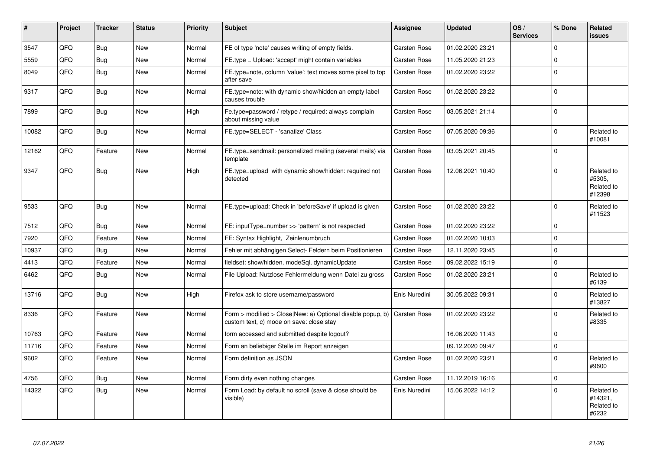| #     | <b>Project</b> | <b>Tracker</b> | <b>Status</b> | <b>Priority</b> | <b>Subject</b>                                                                                                      | Assignee            | <b>Updated</b>   | OS/<br><b>Services</b> | % Done      | Related<br><b>issues</b>                     |
|-------|----------------|----------------|---------------|-----------------|---------------------------------------------------------------------------------------------------------------------|---------------------|------------------|------------------------|-------------|----------------------------------------------|
| 3547  | QFQ            | Bug            | New           | Normal          | FE of type 'note' causes writing of empty fields.                                                                   | <b>Carsten Rose</b> | 01.02.2020 23:21 |                        | $\Omega$    |                                              |
| 5559  | QFQ            | Bug            | New           | Normal          | FE.type = Upload: 'accept' might contain variables                                                                  | Carsten Rose        | 11.05.2020 21:23 |                        | $\Omega$    |                                              |
| 8049  | QFQ            | Bug            | New           | Normal          | FE.type=note, column 'value': text moves some pixel to top<br>after save                                            | <b>Carsten Rose</b> | 01.02.2020 23:22 |                        | $\Omega$    |                                              |
| 9317  | QFQ            | <b>Bug</b>     | New           | Normal          | FE.type=note: with dynamic show/hidden an empty label<br>causes trouble                                             | <b>Carsten Rose</b> | 01.02.2020 23:22 |                        | $\Omega$    |                                              |
| 7899  | QFQ            | <b>Bug</b>     | New           | High            | Fe.type=password / retype / required: always complain<br>about missing value                                        | Carsten Rose        | 03.05.2021 21:14 |                        | $\Omega$    |                                              |
| 10082 | QFQ            | Bug            | New           | Normal          | FE.type=SELECT - 'sanatize' Class                                                                                   | <b>Carsten Rose</b> | 07.05.2020 09:36 |                        | $\Omega$    | Related to<br>#10081                         |
| 12162 | QFQ            | Feature        | New           | Normal          | FE.type=sendmail: personalized mailing (several mails) via<br>template                                              | Carsten Rose        | 03.05.2021 20:45 |                        | $\Omega$    |                                              |
| 9347  | QFQ            | Bug            | <b>New</b>    | High            | FE.type=upload with dynamic show/hidden: required not<br>detected                                                   | Carsten Rose        | 12.06.2021 10:40 |                        | $\Omega$    | Related to<br>#5305.<br>Related to<br>#12398 |
| 9533  | QFQ            | Bug            | New           | Normal          | FE.type=upload: Check in 'beforeSave' if upload is given                                                            | <b>Carsten Rose</b> | 01.02.2020 23:22 |                        | $\mathbf 0$ | Related to<br>#11523                         |
| 7512  | QFQ            | Bug            | New           | Normal          | FE: inputType=number >> 'pattern' is not respected                                                                  | Carsten Rose        | 01.02.2020 23:22 |                        | $\mathbf 0$ |                                              |
| 7920  | QFQ            | Feature        | New           | Normal          | FE: Syntax Highlight, Zeinlenumbruch                                                                                | <b>Carsten Rose</b> | 01.02.2020 10:03 |                        | $\Omega$    |                                              |
| 10937 | QFQ            | Bug            | New           | Normal          | Fehler mit abhängigen Select- Feldern beim Positionieren                                                            | Carsten Rose        | 12.11.2020 23:45 |                        | $\Omega$    |                                              |
| 4413  | QFQ            | Feature        | New           | Normal          | fieldset: show/hidden, modeSql, dynamicUpdate                                                                       | <b>Carsten Rose</b> | 09.02.2022 15:19 |                        | $\mathbf 0$ |                                              |
| 6462  | QFQ            | <b>Bug</b>     | New           | Normal          | File Upload: Nutzlose Fehlermeldung wenn Datei zu gross                                                             | <b>Carsten Rose</b> | 01.02.2020 23:21 |                        | $\Omega$    | Related to<br>#6139                          |
| 13716 | QFQ            | Bug            | New           | High            | Firefox ask to store username/password                                                                              | Enis Nuredini       | 30.05.2022 09:31 |                        | $\Omega$    | Related to<br>#13827                         |
| 8336  | QFQ            | Feature        | New           | Normal          | Form > modified > Close New: a) Optional disable popup, b) Carsten Rose<br>custom text, c) mode on save: close stay |                     | 01.02.2020 23:22 |                        | $\Omega$    | Related to<br>#8335                          |
| 10763 | QFQ            | Feature        | <b>New</b>    | Normal          | form accessed and submitted despite logout?                                                                         |                     | 16.06.2020 11:43 |                        | $\Omega$    |                                              |
| 11716 | QFQ            | Feature        | New           | Normal          | Form an beliebiger Stelle im Report anzeigen                                                                        |                     | 09.12.2020 09:47 |                        | $\Omega$    |                                              |
| 9602  | QFQ            | Feature        | New           | Normal          | Form definition as JSON                                                                                             | Carsten Rose        | 01.02.2020 23:21 |                        | $\Omega$    | Related to<br>#9600                          |
| 4756  | QFQ            | <b>Bug</b>     | <b>New</b>    | Normal          | Form dirty even nothing changes                                                                                     | Carsten Rose        | 11.12.2019 16:16 |                        | $\Omega$    |                                              |
| 14322 | QFQ            | Bug            | New           | Normal          | Form Load: by default no scroll (save & close should be<br>visible)                                                 | Enis Nuredini       | 15.06.2022 14:12 |                        | $\Omega$    | Related to<br>#14321.<br>Related to<br>#6232 |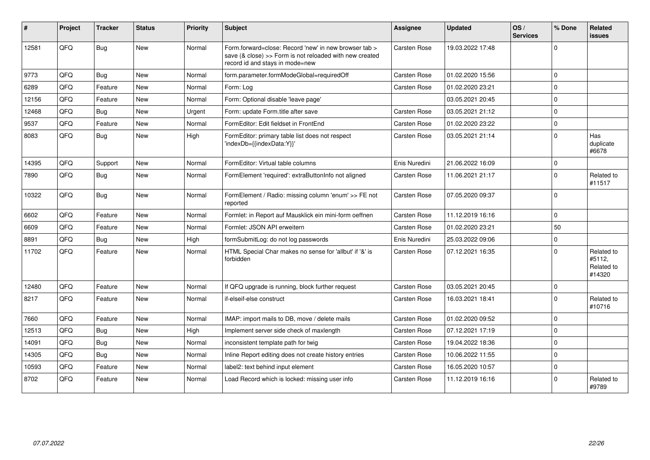| #     | Project    | <b>Tracker</b> | <b>Status</b> | <b>Priority</b> | Subject                                                                                                                                             | Assignee            | <b>Updated</b>   | OS/<br><b>Services</b> | % Done       | Related<br><b>issues</b>                     |
|-------|------------|----------------|---------------|-----------------|-----------------------------------------------------------------------------------------------------------------------------------------------------|---------------------|------------------|------------------------|--------------|----------------------------------------------|
| 12581 | QFQ        | Bug            | <b>New</b>    | Normal          | Form forward=close: Record 'new' in new browser tab ><br>save (& close) >> Form is not reloaded with new created<br>record id and stays in mode=new | Carsten Rose        | 19.03.2022 17:48 |                        | $\Omega$     |                                              |
| 9773  | QFQ        | Bug            | <b>New</b>    | Normal          | form.parameter.formModeGlobal=requiredOff                                                                                                           | Carsten Rose        | 01.02.2020 15:56 |                        | $\Omega$     |                                              |
| 6289  | QFQ        | Feature        | <b>New</b>    | Normal          | Form: Log                                                                                                                                           | Carsten Rose        | 01.02.2020 23:21 |                        | $\Omega$     |                                              |
| 12156 | QFQ        | Feature        | <b>New</b>    | Normal          | Form: Optional disable 'leave page'                                                                                                                 |                     | 03.05.2021 20:45 |                        | $\Omega$     |                                              |
| 12468 | QFQ        | Bug            | <b>New</b>    | Urgent          | Form: update Form.title after save                                                                                                                  | Carsten Rose        | 03.05.2021 21:12 |                        | <sup>0</sup> |                                              |
| 9537  | QFQ        | Feature        | <b>New</b>    | Normal          | FormEditor: Edit fieldset in FrontEnd                                                                                                               | Carsten Rose        | 01.02.2020 23:22 |                        | $\Omega$     |                                              |
| 8083  | QFQ        | Bug            | <b>New</b>    | High            | FormEditor: primary table list does not respect<br>'indexDb={{indexData:Y}}'                                                                        | <b>Carsten Rose</b> | 03.05.2021 21:14 |                        | $\Omega$     | Has<br>duplicate<br>#6678                    |
| 14395 | <b>OFO</b> | Support        | New           | Normal          | FormEditor: Virtual table columns                                                                                                                   | Enis Nuredini       | 21.06.2022 16:09 |                        | $\Omega$     |                                              |
| 7890  | QFQ        | Bug            | <b>New</b>    | Normal          | FormElement 'required': extraButtonInfo not aligned                                                                                                 | <b>Carsten Rose</b> | 11.06.2021 21:17 |                        | $\Omega$     | Related to<br>#11517                         |
| 10322 | QFQ        | Bug            | <b>New</b>    | Normal          | FormElement / Radio: missing column 'enum' >> FE not<br>reported                                                                                    | <b>Carsten Rose</b> | 07.05.2020 09:37 |                        | $\Omega$     |                                              |
| 6602  | QFQ        | Feature        | <b>New</b>    | Normal          | Formlet: in Report auf Mausklick ein mini-form oeffnen                                                                                              | Carsten Rose        | 11.12.2019 16:16 |                        | $\Omega$     |                                              |
| 6609  | QFQ        | Feature        | <b>New</b>    | Normal          | Formlet: JSON API erweitern                                                                                                                         | Carsten Rose        | 01.02.2020 23:21 |                        | 50           |                                              |
| 8891  | QFQ        | Bug            | <b>New</b>    | High            | formSubmitLog: do not log passwords                                                                                                                 | Enis Nuredini       | 25.03.2022 09:06 |                        | $\Omega$     |                                              |
| 11702 | QFQ        | Feature        | <b>New</b>    | Normal          | HTML Special Char makes no sense for 'allbut' if '&' is<br>forbidden                                                                                | Carsten Rose        | 07.12.2021 16:35 |                        | $\Omega$     | Related to<br>#5112,<br>Related to<br>#14320 |
| 12480 | QFQ        | Feature        | <b>New</b>    | Normal          | If QFQ upgrade is running, block further request                                                                                                    | Carsten Rose        | 03.05.2021 20:45 |                        | $\Omega$     |                                              |
| 8217  | QFQ        | Feature        | <b>New</b>    | Normal          | if-elseif-else construct                                                                                                                            | <b>Carsten Rose</b> | 16.03.2021 18:41 |                        | $\Omega$     | Related to<br>#10716                         |
| 7660  | QFQ        | Feature        | <b>New</b>    | Normal          | IMAP: import mails to DB, move / delete mails                                                                                                       | Carsten Rose        | 01.02.2020 09:52 |                        | $\Omega$     |                                              |
| 12513 | QFQ        | Bug            | <b>New</b>    | High            | Implement server side check of maxlength                                                                                                            | Carsten Rose        | 07.12.2021 17:19 |                        | $\Omega$     |                                              |
| 14091 | QFQ        | Bug            | <b>New</b>    | Normal          | inconsistent template path for twig                                                                                                                 | <b>Carsten Rose</b> | 19.04.2022 18:36 |                        | $\Omega$     |                                              |
| 14305 | QFQ        | Bug            | <b>New</b>    | Normal          | Inline Report editing does not create history entries                                                                                               | Carsten Rose        | 10.06.2022 11:55 |                        | $\Omega$     |                                              |
| 10593 | QFQ        | Feature        | <b>New</b>    | Normal          | label2: text behind input element                                                                                                                   | <b>Carsten Rose</b> | 16.05.2020 10:57 |                        | $\Omega$     |                                              |
| 8702  | QFQ        | Feature        | <b>New</b>    | Normal          | Load Record which is locked: missing user info                                                                                                      | <b>Carsten Rose</b> | 11.12.2019 16:16 |                        | $\Omega$     | Related to<br>#9789                          |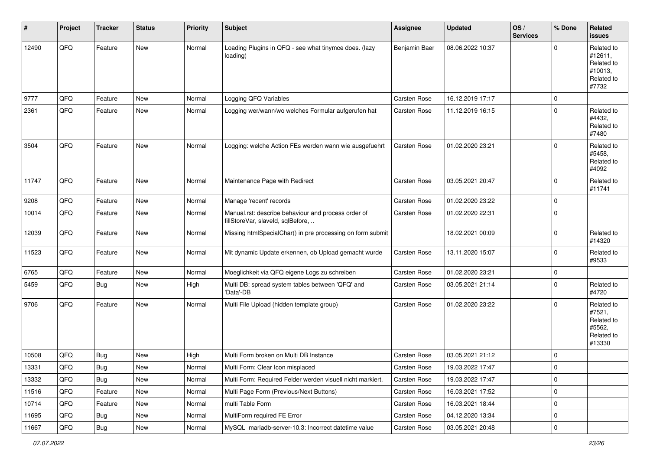| #     | Project | <b>Tracker</b> | <b>Status</b> | <b>Priority</b> | <b>Subject</b>                                                                           | <b>Assignee</b> | <b>Updated</b>   | OS/<br><b>Services</b> | % Done      | Related<br><b>issues</b>                                              |
|-------|---------|----------------|---------------|-----------------|------------------------------------------------------------------------------------------|-----------------|------------------|------------------------|-------------|-----------------------------------------------------------------------|
| 12490 | QFQ     | Feature        | New           | Normal          | Loading Plugins in QFQ - see what tinymce does. (lazy<br>loading)                        | Benjamin Baer   | 08.06.2022 10:37 |                        | $\Omega$    | Related to<br>#12611,<br>Related to<br>#10013,<br>Related to<br>#7732 |
| 9777  | QFQ     | Feature        | New           | Normal          | Logging QFQ Variables                                                                    | Carsten Rose    | 16.12.2019 17:17 |                        | $\mathbf 0$ |                                                                       |
| 2361  | QFQ     | Feature        | <b>New</b>    | Normal          | Logging wer/wann/wo welches Formular aufgerufen hat                                      | Carsten Rose    | 11.12.2019 16:15 |                        | $\mathbf 0$ | Related to<br>#4432,<br>Related to<br>#7480                           |
| 3504  | QFQ     | Feature        | <b>New</b>    | Normal          | Logging: welche Action FEs werden wann wie ausgefuehrt                                   | Carsten Rose    | 01.02.2020 23:21 |                        | $\mathbf 0$ | Related to<br>#5458,<br>Related to<br>#4092                           |
| 11747 | QFQ     | Feature        | New           | Normal          | Maintenance Page with Redirect                                                           | Carsten Rose    | 03.05.2021 20:47 |                        | $\mathbf 0$ | Related to<br>#11741                                                  |
| 9208  | QFQ     | Feature        | New           | Normal          | Manage 'recent' records                                                                  | Carsten Rose    | 01.02.2020 23:22 |                        | $\mathbf 0$ |                                                                       |
| 10014 | QFQ     | Feature        | New           | Normal          | Manual.rst: describe behaviour and process order of<br>fillStoreVar, slaveId, sqlBefore, | Carsten Rose    | 01.02.2020 22:31 |                        | $\mathbf 0$ |                                                                       |
| 12039 | QFQ     | Feature        | New           | Normal          | Missing htmlSpecialChar() in pre processing on form submit                               |                 | 18.02.2021 00:09 |                        | $\mathbf 0$ | Related to<br>#14320                                                  |
| 11523 | QFQ     | Feature        | <b>New</b>    | Normal          | Mit dynamic Update erkennen, ob Upload gemacht wurde                                     | Carsten Rose    | 13.11.2020 15:07 |                        | $\mathbf 0$ | Related to<br>#9533                                                   |
| 6765  | QFQ     | Feature        | New           | Normal          | Moeglichkeit via QFQ eigene Logs zu schreiben                                            | Carsten Rose    | 01.02.2020 23:21 |                        | $\mathbf 0$ |                                                                       |
| 5459  | QFQ     | Bug            | New           | High            | Multi DB: spread system tables between 'QFQ' and<br>'Data'-DB                            | Carsten Rose    | 03.05.2021 21:14 |                        | $\mathbf 0$ | Related to<br>#4720                                                   |
| 9706  | QFQ     | Feature        | <b>New</b>    | Normal          | Multi File Upload (hidden template group)                                                | Carsten Rose    | 01.02.2020 23:22 |                        | $\Omega$    | Related to<br>#7521,<br>Related to<br>#5562,<br>Related to<br>#13330  |
| 10508 | QFQ     | <b>Bug</b>     | <b>New</b>    | High            | Multi Form broken on Multi DB Instance                                                   | Carsten Rose    | 03.05.2021 21:12 |                        | $\mathbf 0$ |                                                                       |
| 13331 | QFQ     | Bug            | New           | Normal          | Multi Form: Clear Icon misplaced                                                         | Carsten Rose    | 19.03.2022 17:47 |                        | 0           |                                                                       |
| 13332 | QFQ     | Bug            | New           | Normal          | Multi Form: Required Felder werden visuell nicht markiert.                               | Carsten Rose    | 19.03.2022 17:47 |                        | $\mathbf 0$ |                                                                       |
| 11516 | QFQ     | Feature        | New           | Normal          | Multi Page Form (Previous/Next Buttons)                                                  | Carsten Rose    | 16.03.2021 17:52 |                        | $\mathbf 0$ |                                                                       |
| 10714 | QFQ     | Feature        | New           | Normal          | multi Table Form                                                                         | Carsten Rose    | 16.03.2021 18:44 |                        | $\mathbf 0$ |                                                                       |
| 11695 | QFQ     | Bug            | New           | Normal          | MultiForm required FE Error                                                              | Carsten Rose    | 04.12.2020 13:34 |                        | 0           |                                                                       |
| 11667 | QFQ     | <b>Bug</b>     | New           | Normal          | MySQL mariadb-server-10.3: Incorrect datetime value                                      | Carsten Rose    | 03.05.2021 20:48 |                        | $\mathbf 0$ |                                                                       |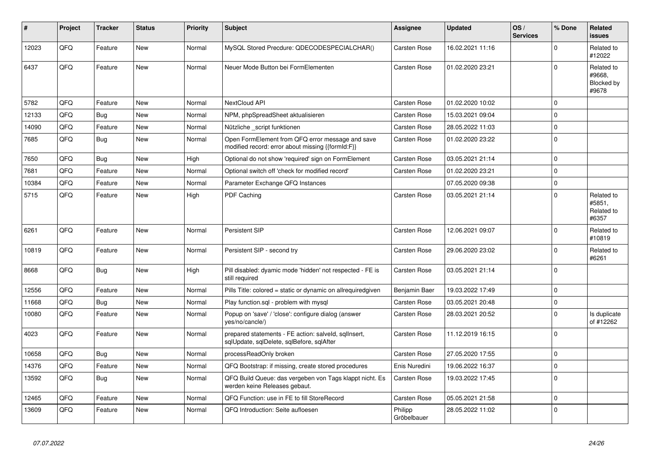| #     | Project | <b>Tracker</b> | <b>Status</b> | <b>Priority</b> | <b>Subject</b>                                                                                        | Assignee               | <b>Updated</b>   | OS/<br><b>Services</b> | % Done      | Related<br><b>issues</b>                    |
|-------|---------|----------------|---------------|-----------------|-------------------------------------------------------------------------------------------------------|------------------------|------------------|------------------------|-------------|---------------------------------------------|
| 12023 | QFQ     | Feature        | <b>New</b>    | Normal          | MySQL Stored Precdure: QDECODESPECIALCHAR()                                                           | Carsten Rose           | 16.02.2021 11:16 |                        | $\Omega$    | Related to<br>#12022                        |
| 6437  | QFQ     | Feature        | <b>New</b>    | Normal          | Neuer Mode Button bei FormElementen                                                                   | Carsten Rose           | 01.02.2020 23:21 |                        | $\Omega$    | Related to<br>#9668,<br>Blocked by<br>#9678 |
| 5782  | QFQ     | Feature        | <b>New</b>    | Normal          | NextCloud API                                                                                         | <b>Carsten Rose</b>    | 01.02.2020 10:02 |                        | $\Omega$    |                                             |
| 12133 | QFQ     | Bug            | <b>New</b>    | Normal          | NPM, phpSpreadSheet aktualisieren                                                                     | <b>Carsten Rose</b>    | 15.03.2021 09:04 |                        | $\Omega$    |                                             |
| 14090 | QFQ     | Feature        | <b>New</b>    | Normal          | Nützliche script funktionen                                                                           | Carsten Rose           | 28.05.2022 11:03 |                        | $\Omega$    |                                             |
| 7685  | QFQ     | Bug            | <b>New</b>    | Normal          | Open FormElement from QFQ error message and save<br>modified record: error about missing {{formId:F}} | <b>Carsten Rose</b>    | 01.02.2020 23:22 |                        | $\Omega$    |                                             |
| 7650  | QFQ     | Bug            | <b>New</b>    | High            | Optional do not show 'required' sign on FormElement                                                   | Carsten Rose           | 03.05.2021 21:14 |                        | $\Omega$    |                                             |
| 7681  | QFQ     | Feature        | <b>New</b>    | Normal          | Optional switch off 'check for modified record'                                                       | Carsten Rose           | 01.02.2020 23:21 |                        | $\Omega$    |                                             |
| 10384 | QFQ     | Feature        | <b>New</b>    | Normal          | Parameter Exchange QFQ Instances                                                                      |                        | 07.05.2020 09:38 |                        | $\mathbf 0$ |                                             |
| 5715  | QFQ     | Feature        | <b>New</b>    | High            | PDF Caching                                                                                           | Carsten Rose           | 03.05.2021 21:14 |                        | $\Omega$    | Related to<br>#5851,<br>Related to<br>#6357 |
| 6261  | QFQ     | Feature        | <b>New</b>    | Normal          | Persistent SIP                                                                                        | <b>Carsten Rose</b>    | 12.06.2021 09:07 |                        | $\Omega$    | Related to<br>#10819                        |
| 10819 | QFQ     | Feature        | <b>New</b>    | Normal          | Persistent SIP - second try                                                                           | <b>Carsten Rose</b>    | 29.06.2020 23:02 |                        | $\Omega$    | Related to<br>#6261                         |
| 8668  | QFQ     | <b>Bug</b>     | New           | High            | Pill disabled: dyamic mode 'hidden' not respected - FE is<br>still required                           | Carsten Rose           | 03.05.2021 21:14 |                        | $\Omega$    |                                             |
| 12556 | QFQ     | Feature        | <b>New</b>    | Normal          | Pills Title: colored = static or dynamic on allrequiredgiven                                          | Benjamin Baer          | 19.03.2022 17:49 |                        | $\Omega$    |                                             |
| 11668 | QFQ     | <b>Bug</b>     | <b>New</b>    | Normal          | Play function.sql - problem with mysql                                                                | Carsten Rose           | 03.05.2021 20:48 |                        | $\Omega$    |                                             |
| 10080 | QFQ     | Feature        | <b>New</b>    | Normal          | Popup on 'save' / 'close': configure dialog (answer<br>yes/no/cancle/)                                | Carsten Rose           | 28.03.2021 20:52 |                        | $\Omega$    | Is duplicate<br>of #12262                   |
| 4023  | QFQ     | Feature        | <b>New</b>    | Normal          | prepared statements - FE action: salveld, sqllnsert,<br>sqlUpdate, sqlDelete, sqlBefore, sqlAfter     | <b>Carsten Rose</b>    | 11.12.2019 16:15 |                        | $\Omega$    |                                             |
| 10658 | QFQ     | <b>Bug</b>     | <b>New</b>    | Normal          | processReadOnly broken                                                                                | Carsten Rose           | 27.05.2020 17:55 |                        | $\Omega$    |                                             |
| 14376 | QFQ     | Feature        | <b>New</b>    | Normal          | QFQ Bootstrap: if missing, create stored procedures                                                   | Enis Nuredini          | 19.06.2022 16:37 |                        | $\Omega$    |                                             |
| 13592 | QFQ     | <b>Bug</b>     | <b>New</b>    | Normal          | QFQ Build Queue: das vergeben von Tags klappt nicht. Es<br>werden keine Releases gebaut.              | <b>Carsten Rose</b>    | 19.03.2022 17:45 |                        | $\Omega$    |                                             |
| 12465 | QFQ     | Feature        | <b>New</b>    | Normal          | QFQ Function: use in FE to fill StoreRecord                                                           | Carsten Rose           | 05.05.2021 21:58 |                        | $\Omega$    |                                             |
| 13609 | QFQ     | Feature        | <b>New</b>    | Normal          | QFQ Introduction: Seite aufloesen                                                                     | Philipp<br>Gröbelbauer | 28.05.2022 11:02 |                        | $\Omega$    |                                             |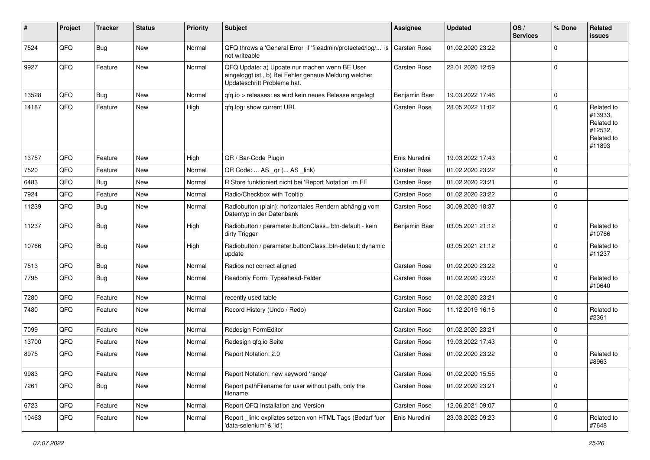| #     | Project | <b>Tracker</b> | <b>Status</b> | <b>Priority</b> | Subject                                                                                                                               | <b>Assignee</b> | <b>Updated</b>   | OS/<br><b>Services</b> | % Done      | Related<br>issues                                                      |
|-------|---------|----------------|---------------|-----------------|---------------------------------------------------------------------------------------------------------------------------------------|-----------------|------------------|------------------------|-------------|------------------------------------------------------------------------|
| 7524  | QFQ     | Bug            | New           | Normal          | QFQ throws a 'General Error' if 'fileadmin/protected/log/' is<br>not writeable                                                        | Carsten Rose    | 01.02.2020 23:22 |                        | $\mathbf 0$ |                                                                        |
| 9927  | QFQ     | Feature        | New           | Normal          | QFQ Update: a) Update nur machen wenn BE User<br>eingeloggt ist., b) Bei Fehler genaue Meldung welcher<br>Updateschritt Probleme hat. | Carsten Rose    | 22.01.2020 12:59 |                        | $\mathbf 0$ |                                                                        |
| 13528 | QFQ     | Bug            | New           | Normal          | gfg.io > releases: es wird kein neues Release angelegt                                                                                | Benjamin Baer   | 19.03.2022 17:46 |                        | $\mathbf 0$ |                                                                        |
| 14187 | QFQ     | Feature        | New           | High            | qfq.log: show current URL                                                                                                             | Carsten Rose    | 28.05.2022 11:02 |                        | $\mathbf 0$ | Related to<br>#13933,<br>Related to<br>#12532,<br>Related to<br>#11893 |
| 13757 | QFQ     | Feature        | New           | High            | QR / Bar-Code Plugin                                                                                                                  | Enis Nuredini   | 19.03.2022 17:43 |                        | $\mathbf 0$ |                                                                        |
| 7520  | QFQ     | Feature        | New           | Normal          | QR Code:  AS _qr ( AS _link)                                                                                                          | Carsten Rose    | 01.02.2020 23:22 |                        | $\mathbf 0$ |                                                                        |
| 6483  | QFQ     | Bug            | New           | Normal          | R Store funktioniert nicht bei 'Report Notation' im FE                                                                                | Carsten Rose    | 01.02.2020 23:21 |                        | $\mathbf 0$ |                                                                        |
| 7924  | QFQ     | Feature        | New           | Normal          | Radio/Checkbox with Tooltip                                                                                                           | Carsten Rose    | 01.02.2020 23:22 |                        | $\mathbf 0$ |                                                                        |
| 11239 | QFQ     | Bug            | <b>New</b>    | Normal          | Radiobutton (plain): horizontales Rendern abhängig vom<br>Datentyp in der Datenbank                                                   | Carsten Rose    | 30.09.2020 18:37 |                        | $\mathbf 0$ |                                                                        |
| 11237 | QFQ     | <b>Bug</b>     | <b>New</b>    | High            | Radiobutton / parameter.buttonClass= btn-default - kein<br>dirty Trigger                                                              | Benjamin Baer   | 03.05.2021 21:12 |                        | $\mathbf 0$ | Related to<br>#10766                                                   |
| 10766 | QFQ     | Bug            | New           | High            | Radiobutton / parameter.buttonClass=btn-default: dynamic<br>update                                                                    |                 | 03.05.2021 21:12 |                        | $\mathbf 0$ | Related to<br>#11237                                                   |
| 7513  | QFQ     | <b>Bug</b>     | New           | Normal          | Radios not correct aligned                                                                                                            | Carsten Rose    | 01.02.2020 23:22 |                        | $\mathbf 0$ |                                                                        |
| 7795  | QFQ     | Bug            | New           | Normal          | Readonly Form: Typeahead-Felder                                                                                                       | Carsten Rose    | 01.02.2020 23:22 |                        | $\mathbf 0$ | Related to<br>#10640                                                   |
| 7280  | QFQ     | Feature        | <b>New</b>    | Normal          | recently used table                                                                                                                   | Carsten Rose    | 01.02.2020 23:21 |                        | $\mathbf 0$ |                                                                        |
| 7480  | QFQ     | Feature        | New           | Normal          | Record History (Undo / Redo)                                                                                                          | Carsten Rose    | 11.12.2019 16:16 |                        | $\mathbf 0$ | Related to<br>#2361                                                    |
| 7099  | QFQ     | Feature        | New           | Normal          | Redesign FormEditor                                                                                                                   | Carsten Rose    | 01.02.2020 23:21 |                        | $\mathbf 0$ |                                                                        |
| 13700 | QFQ     | Feature        | New           | Normal          | Redesign gfg.io Seite                                                                                                                 | Carsten Rose    | 19.03.2022 17:43 |                        | $\mathbf 0$ |                                                                        |
| 8975  | QFQ     | Feature        | <b>New</b>    | Normal          | Report Notation: 2.0                                                                                                                  | Carsten Rose    | 01.02.2020 23:22 |                        | $\mathbf 0$ | Related to<br>#8963                                                    |
| 9983  | QFQ     | Feature        | New           | Normal          | Report Notation: new keyword 'range'                                                                                                  | Carsten Rose    | 01.02.2020 15:55 |                        | $\pmb{0}$   |                                                                        |
| 7261  | QFQ     | <b>Bug</b>     | New           | Normal          | Report pathFilename for user without path, only the<br>filename                                                                       | Carsten Rose    | 01.02.2020 23:21 |                        | $\mathbf 0$ |                                                                        |
| 6723  | QFQ     | Feature        | New           | Normal          | Report QFQ Installation and Version                                                                                                   | Carsten Rose    | 12.06.2021 09:07 |                        | $\mathbf 0$ |                                                                        |
| 10463 | QFQ     | Feature        | New           | Normal          | Report link: expliztes setzen von HTML Tags (Bedarf fuer<br>'data-selenium' & 'id')                                                   | Enis Nuredini   | 23.03.2022 09:23 |                        | $\mathbf 0$ | Related to<br>#7648                                                    |